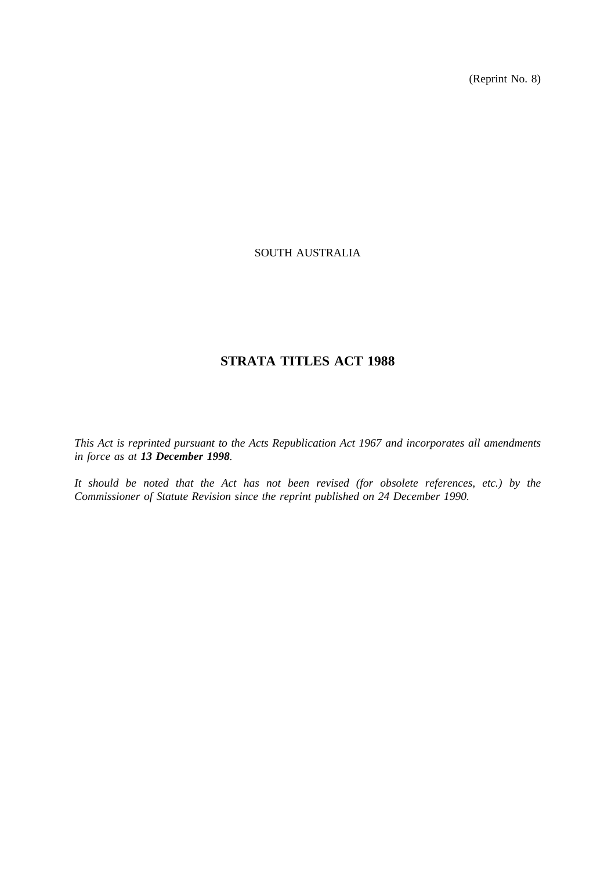(Reprint No. 8)

### SOUTH AUSTRALIA

# **STRATA TITLES ACT 1988**

*This Act is reprinted pursuant to the Acts Republication Act 1967 and incorporates all amendments in force as at 13 December 1998.*

*It should be noted that the Act has not been revised (for obsolete references, etc.) by the Commissioner of Statute Revision since the reprint published on 24 December 1990.*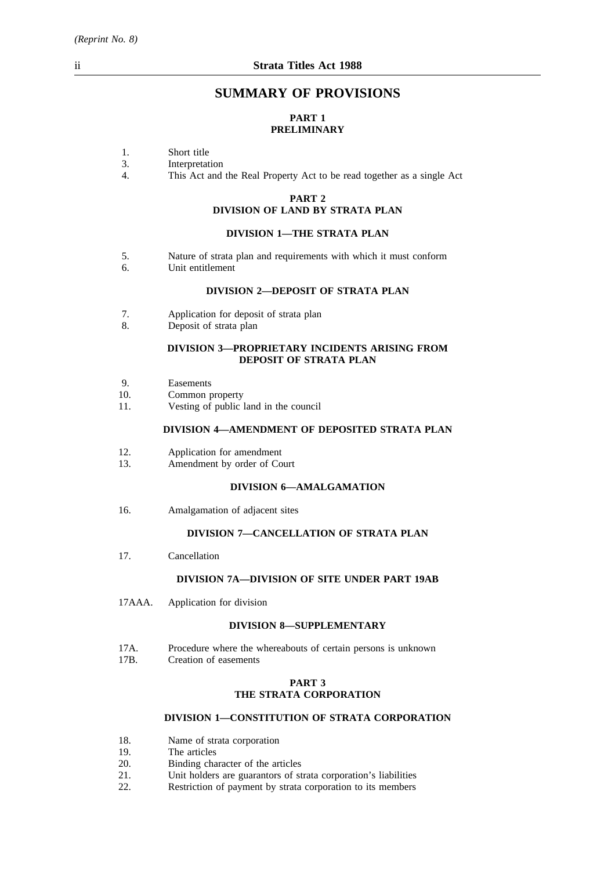## **SUMMARY OF PROVISIONS**

### **PART 1 PRELIMINARY**

- 1. Short title<br>3. Interpretat
- 3. Interpretation<br>4. This Act and
- This Act and the Real Property Act to be read together as a single Act

# **PART 2**

# **DIVISION OF LAND BY STRATA PLAN**

### **DIVISION 1—THE STRATA PLAN**

- 5. Nature of strata plan and requirements with which it must conform<br>6. Unit entitlement
- Unit entitlement

### **DIVISION 2—DEPOSIT OF STRATA PLAN**

- 7. Application for deposit of strata plan
- 8. Deposit of strata plan

#### **DIVISION 3—PROPRIETARY INCIDENTS ARISING FROM DEPOSIT OF STRATA PLAN**

- 9. Easements
- 10. Common property
- 11. Vesting of public land in the council

### **DIVISION 4—AMENDMENT OF DEPOSITED STRATA PLAN**

- 12. Application for amendment
- 13. Amendment by order of Court

### **DIVISION 6—AMALGAMATION**

16. Amalgamation of adjacent sites

### **DIVISION 7—CANCELLATION OF STRATA PLAN**

17. Cancellation

### **DIVISION 7A—DIVISION OF SITE UNDER PART 19AB**

17AAA. Application for division

### **DIVISION 8—SUPPLEMENTARY**

- 17A. Procedure where the whereabouts of certain persons is unknown<br>17B. Creation of easements
- Creation of easements

### **PART 3 THE STRATA CORPORATION**

### **DIVISION 1—CONSTITUTION OF STRATA CORPORATION**

- 18. Name of strata corporation<br>19. The articles
- 19. The articles<br>20. Binding cha
- 20. Binding character of the articles<br>21. Unit holders are guarantors of st
- 21. Unit holders are guarantors of strata corporation's liabilities<br>22. Restriction of payment by strata corporation to its members
- Restriction of payment by strata corporation to its members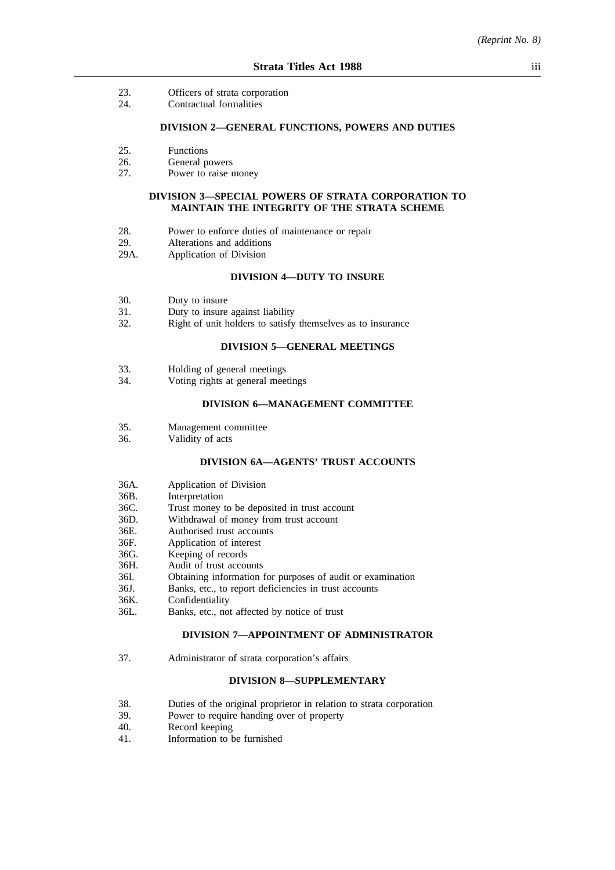- 23. Officers of strata corporation
- 24. Contractual formalities

#### **DIVISION 2—GENERAL FUNCTIONS, POWERS AND DUTIES**

- 25. Functions
- 26. General powers<br>27. Power to raise r
- Power to raise money

### **DIVISION 3—SPECIAL POWERS OF STRATA CORPORATION TO MAINTAIN THE INTEGRITY OF THE STRATA SCHEME**

- 28. Power to enforce duties of maintenance or repair
- 29. Alterations and additions
- 29A. Application of Division

### **DIVISION 4—DUTY TO INSURE**

- 30. Duty to insure
- 31. Duty to insure against liability
- 32. Right of unit holders to satisfy themselves as to insurance

### **DIVISION 5—GENERAL MEETINGS**

- 33. Holding of general meetings<br>34 Voting rights at general mee
- Voting rights at general meetings

### **DIVISION 6—MANAGEMENT COMMITTEE**

- 35. Management committee
- 36. Validity of acts

#### **DIVISION 6A—AGENTS' TRUST ACCOUNTS**

- 36A. Application of Division<br>36B. Interpretation
- **Interpretation**
- 36C. Trust money to be deposited in trust account
- 36D. Withdrawal of money from trust account
- 36E. Authorised trust accounts
- 36F. Application of interest
- 36G. Keeping of records
- 36H. Audit of trust accounts
- 36I. Obtaining information for purposes of audit or examination
- 36J. Banks, etc., to report deficiencies in trust accounts
- 36K. Confidentiality
- 36L. Banks, etc., not affected by notice of trust

#### **DIVISION 7—APPOINTMENT OF ADMINISTRATOR**

37. Administrator of strata corporation's affairs

#### **DIVISION 8—SUPPLEMENTARY**

- 38. Duties of the original proprietor in relation to strata corporation
- 39. Power to require handing over of property
- 40. Record keeping
- 41. Information to be furnished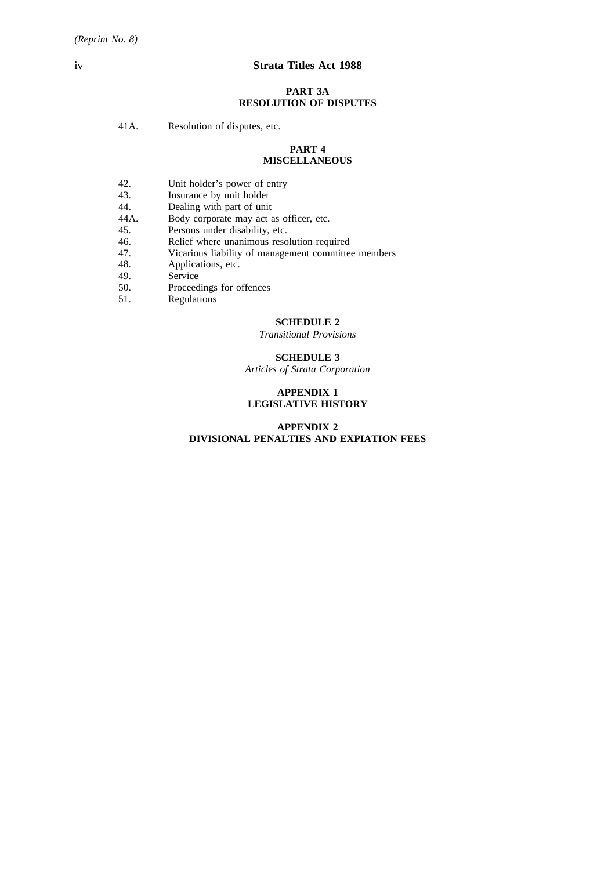#### **PART 3A RESOLUTION OF DISPUTES**

41A. Resolution of disputes, etc.

#### **PART 4 MISCELLANEOUS**

- 42. Unit holder's power of entry<br>43. Insurance by unit holder
- 43. Insurance by unit holder<br>44. Dealing with part of unit
- 44. Dealing with part of unit<br>44A. Body corporate may act a
- 44A. Body corporate may act as officer, etc.<br>45. Persons under disability, etc.
- 
- 45. Persons under disability, etc.<br>46. Relief where unanimous reso Relief where unanimous resolution required
- 47. Vicarious liability of management committee members
- 48. Applications, etc.
- 49. Service<br>50. Proceed
- 50. Proceedings for offences<br>51. Regulations
- Regulations

#### **SCHEDULE 2**

*Transitional Provisions*

### **SCHEDULE 3**

*Articles of Strata Corporation*

### **APPENDIX 1 LEGISLATIVE HISTORY**

### **APPENDIX 2 DIVISIONAL PENALTIES AND EXPIATION FEES**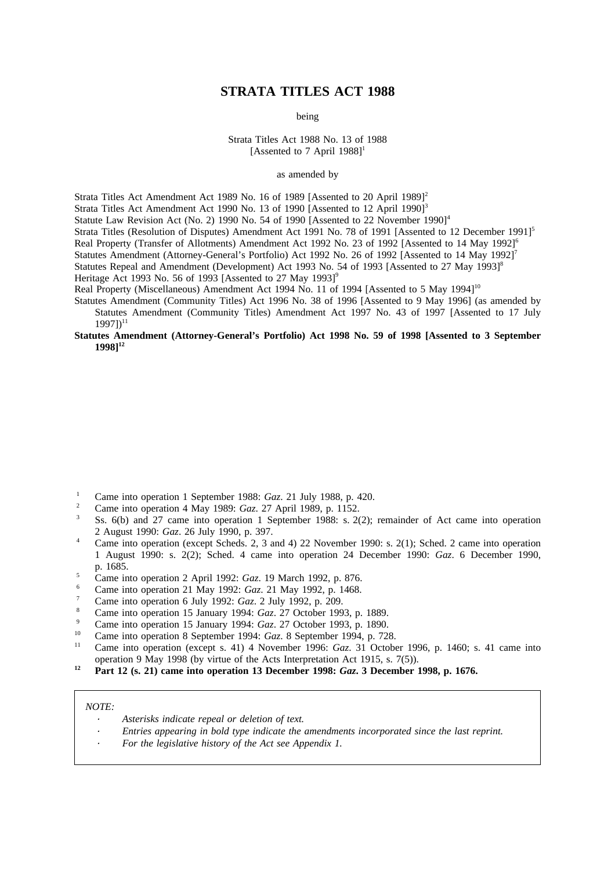## **STRATA TITLES ACT 1988**

being

Strata Titles Act 1988 No. 13 of 1988 [Assented to 7 April  $1988$ ]<sup>1</sup>

as amended by

Strata Titles Act Amendment Act 1989 No. 16 of 1989 [Assented to 20 April 1989]<sup>2</sup>

Strata Titles Act Amendment Act 1990 No. 13 of 1990 [Assented to 12 April 1990]<sup>3</sup>

Statute Law Revision Act (No. 2) 1990 No. 54 of 1990 [Assented to 22 November 1990]<sup>4</sup>

Strata Titles (Resolution of Disputes) Amendment Act 1991 No. 78 of 1991 [Assented to 12 December 1991]<sup>5</sup>

Real Property (Transfer of Allotments) Amendment Act 1992 No. 23 of 1992 [Assented to 14 May 1992]<sup>6</sup>

Statutes Amendment (Attorney-General's Portfolio) Act 1992 No. 26 of 1992 [Assented to 14 May 1992]<sup>7</sup> Statutes Repeal and Amendment (Development) Act 1993 No. 54 of 1993 [Assented to 27 May 1993]<sup>8</sup>

Heritage Act 1993 No. 56 of 1993 [Assented to 27 May 1993]<sup>9</sup>

Real Property (Miscellaneous) Amendment Act 1994 No. 11 of 1994 [Assented to 5 May 1994]<sup>10</sup>

Statutes Amendment (Community Titles) Act 1996 No. 38 of 1996 [Assented to 9 May 1996] (as amended by Statutes Amendment (Community Titles) Amendment Act 1997 No. 43 of 1997 [Assented to 17 July  $19971$ <sup>11</sup>

#### **Statutes Amendment (Attorney-General's Portfolio) Act 1998 No. 59 of 1998 [Assented to 3 September 1998]12**

- <sup>1</sup> Came into operation 1 September 1988: *Gaz*. 21 July 1988, p. 420.
- <sup>2</sup> Came into operation 4 May 1989: *Gaz*. 27 April 1989, p. 1152.
- Ss. 6(b) and 27 came into operation 1 September 1988: s. 2(2); remainder of Act came into operation 2 August 1990: *Gaz*. 26 July 1990, p. 397.
- <sup>4</sup> Came into operation (except Scheds. 2, 3 and 4) 22 November 1990: s. 2(1); Sched. 2 came into operation 1 August 1990: s. 2(2); Sched. 4 came into operation 24 December 1990: *Gaz*. 6 December 1990, p. 1685.
- <sup>5</sup> Came into operation 2 April 1992: *Gaz*. 19 March 1992, p. 876.
- <sup>6</sup> Came into operation 21 May 1992: *Gaz*. 21 May 1992, p. 1468.
- <sup>7</sup> Came into operation 6 July 1992: *Gaz*. 2 July 1992, p. 209.
- <sup>8</sup> Came into operation 15 January 1994: *Gaz*. 27 October 1993, p. 1889.
- <sup>9</sup> Came into operation 15 January 1994: *Gaz*. 27 October 1993, p. 1890.
- <sup>10</sup> Came into operation 8 September 1994: *Gaz*. 8 September 1994, p. 728.
- Came into operation (except s. 41) 4 November 1996: *Gaz*. 31 October 1996, p. 1460; s. 41 came into operation 9 May 1998 (by virtue of the Acts Interpretation Act 1915, s. 7(5)).
- **<sup>12</sup> Part 12 (s. 21) came into operation 13 December 1998:** *Gaz***. 3 December 1998, p. 1676.**

#### *NOTE:*

- *Asterisks indicate repeal or deletion of text.*
- *Entries appearing in bold type indicate the amendments incorporated since the last reprint.*
- *For the legislative history of the Act see Appendix 1.*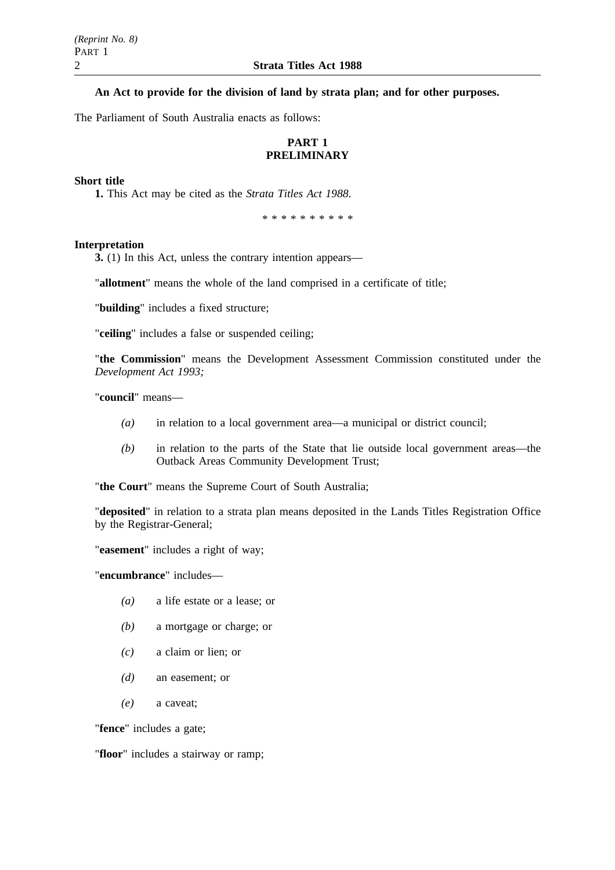### **An Act to provide for the division of land by strata plan; and for other purposes.**

The Parliament of South Australia enacts as follows:

## **PART 1 PRELIMINARY**

### **Short title**

**1.** This Act may be cited as the *Strata Titles Act 1988*.

\*\*\*\*\*\*\*\*\*\*

### **Interpretation**

**3.** (1) In this Act, unless the contrary intention appears—

"**allotment**" means the whole of the land comprised in a certificate of title;

"**building**" includes a fixed structure;

"**ceiling**" includes a false or suspended ceiling;

"**the Commission**" means the Development Assessment Commission constituted under the *Development Act 1993;*

"**council**" means—

- *(a)* in relation to a local government area—a municipal or district council;
- *(b)* in relation to the parts of the State that lie outside local government areas—the Outback Areas Community Development Trust;

"**the Court**" means the Supreme Court of South Australia;

"**deposited**" in relation to a strata plan means deposited in the Lands Titles Registration Office by the Registrar-General;

"**easement**" includes a right of way;

"**encumbrance**" includes—

- *(a)* a life estate or a lease; or
- *(b)* a mortgage or charge; or
- *(c)* a claim or lien; or
- *(d)* an easement; or
- *(e)* a caveat;

"**fence**" includes a gate;

"**floor**" includes a stairway or ramp;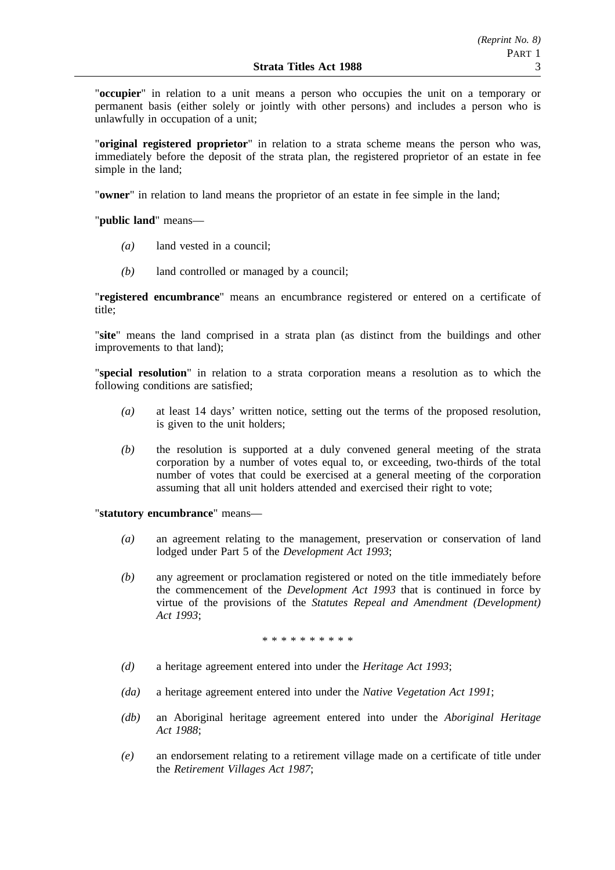"**occupier**" in relation to a unit means a person who occupies the unit on a temporary or permanent basis (either solely or jointly with other persons) and includes a person who is unlawfully in occupation of a unit;

"**original registered proprietor**" in relation to a strata scheme means the person who was, immediately before the deposit of the strata plan, the registered proprietor of an estate in fee simple in the land;

"**owner**" in relation to land means the proprietor of an estate in fee simple in the land;

"**public land**" means—

- *(a)* land vested in a council;
- *(b)* land controlled or managed by a council;

"**registered encumbrance**" means an encumbrance registered or entered on a certificate of title;

"**site**" means the land comprised in a strata plan (as distinct from the buildings and other improvements to that land);

"**special resolution**" in relation to a strata corporation means a resolution as to which the following conditions are satisfied;

- *(a)* at least 14 days' written notice, setting out the terms of the proposed resolution, is given to the unit holders;
- *(b)* the resolution is supported at a duly convened general meeting of the strata corporation by a number of votes equal to, or exceeding, two-thirds of the total number of votes that could be exercised at a general meeting of the corporation assuming that all unit holders attended and exercised their right to vote;

"**statutory encumbrance**" means—

- *(a)* an agreement relating to the management, preservation or conservation of land lodged under Part 5 of the *Development Act 1993*;
- *(b)* any agreement or proclamation registered or noted on the title immediately before the commencement of the *Development Act 1993* that is continued in force by virtue of the provisions of the *Statutes Repeal and Amendment (Development) Act 1993*;

\*\*\*\*\*\*\*\*\*\*

- *(d)* a heritage agreement entered into under the *Heritage Act 1993*;
- *(da)* a heritage agreement entered into under the *Native Vegetation Act 1991*;
- *(db)* an Aboriginal heritage agreement entered into under the *Aboriginal Heritage Act 1988*;
- *(e)* an endorsement relating to a retirement village made on a certificate of title under the *Retirement Villages Act 1987*;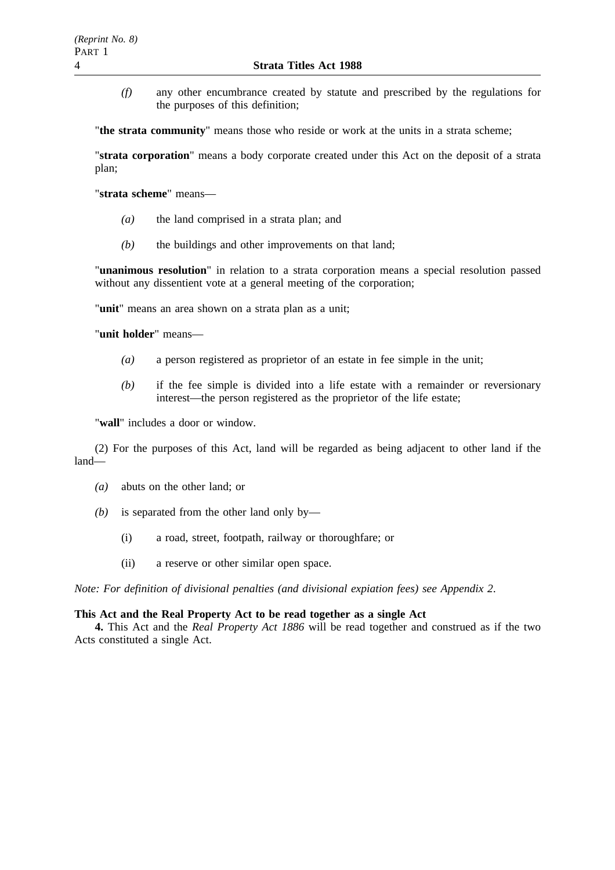*(f)* any other encumbrance created by statute and prescribed by the regulations for the purposes of this definition;

"**the strata community**" means those who reside or work at the units in a strata scheme;

"**strata corporation**" means a body corporate created under this Act on the deposit of a strata plan;

"**strata scheme**" means—

- *(a)* the land comprised in a strata plan; and
- *(b)* the buildings and other improvements on that land;

"**unanimous resolution**" in relation to a strata corporation means a special resolution passed without any dissentient vote at a general meeting of the corporation;

"**unit**" means an area shown on a strata plan as a unit;

"**unit holder**" means—

- *(a)* a person registered as proprietor of an estate in fee simple in the unit;
- *(b)* if the fee simple is divided into a life estate with a remainder or reversionary interest—the person registered as the proprietor of the life estate;

"**wall**" includes a door or window.

(2) For the purposes of this Act, land will be regarded as being adjacent to other land if the land—

- *(a)* abuts on the other land; or
- *(b)* is separated from the other land only by—
	- (i) a road, street, footpath, railway or thoroughfare; or
	- (ii) a reserve or other similar open space.

*Note: For definition of divisional penalties (and divisional expiation fees) see Appendix 2*.

### **This Act and the Real Property Act to be read together as a single Act**

**4.** This Act and the *Real Property Act 1886* will be read together and construed as if the two Acts constituted a single Act.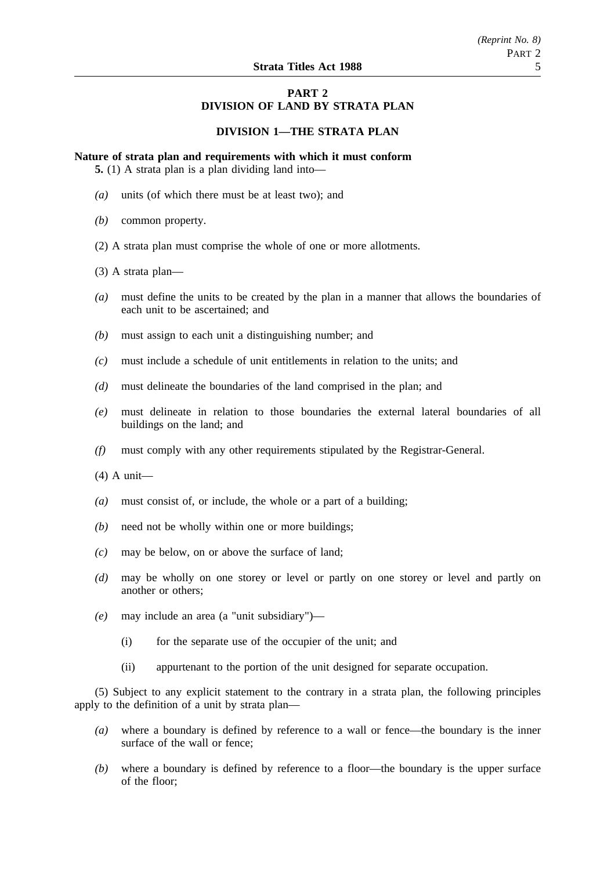### **PART 2 DIVISION OF LAND BY STRATA PLAN**

### **DIVISION 1—THE STRATA PLAN**

**Nature of strata plan and requirements with which it must conform**

**5.** (1) A strata plan is a plan dividing land into—

- *(a)* units (of which there must be at least two); and
- *(b)* common property.
- (2) A strata plan must comprise the whole of one or more allotments.
- (3) A strata plan—
- *(a)* must define the units to be created by the plan in a manner that allows the boundaries of each unit to be ascertained; and
- *(b)* must assign to each unit a distinguishing number; and
- *(c)* must include a schedule of unit entitlements in relation to the units; and
- *(d)* must delineate the boundaries of the land comprised in the plan; and
- *(e)* must delineate in relation to those boundaries the external lateral boundaries of all buildings on the land; and
- *(f)* must comply with any other requirements stipulated by the Registrar-General.
- (4) A unit—
- *(a)* must consist of, or include, the whole or a part of a building;
- *(b)* need not be wholly within one or more buildings;
- *(c)* may be below, on or above the surface of land;
- *(d)* may be wholly on one storey or level or partly on one storey or level and partly on another or others;
- *(e)* may include an area (a "unit subsidiary")—
	- (i) for the separate use of the occupier of the unit; and
	- (ii) appurtenant to the portion of the unit designed for separate occupation.

(5) Subject to any explicit statement to the contrary in a strata plan, the following principles apply to the definition of a unit by strata plan—

- *(a)* where a boundary is defined by reference to a wall or fence—the boundary is the inner surface of the wall or fence;
- *(b)* where a boundary is defined by reference to a floor—the boundary is the upper surface of the floor;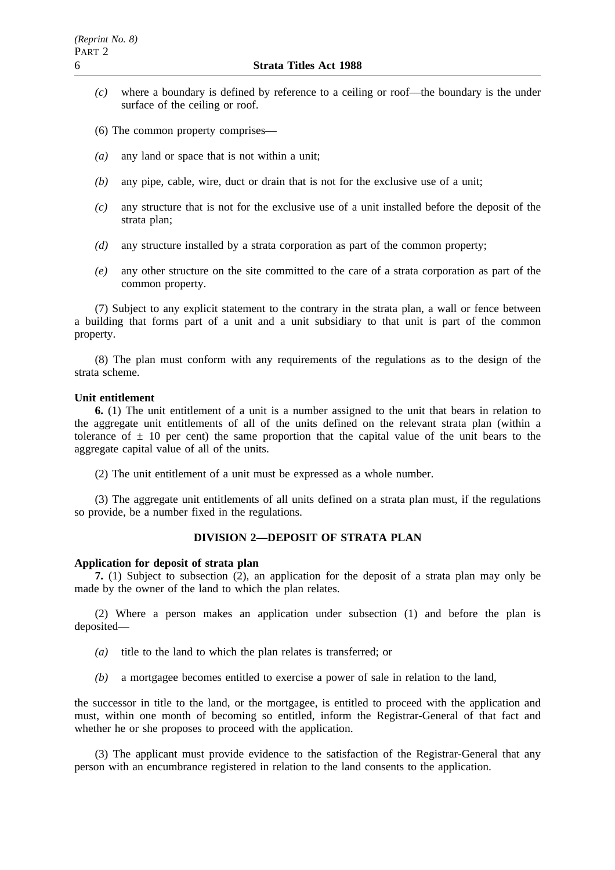- *(c)* where a boundary is defined by reference to a ceiling or roof—the boundary is the under surface of the ceiling or roof.
- (6) The common property comprises—
- *(a)* any land or space that is not within a unit;
- *(b)* any pipe, cable, wire, duct or drain that is not for the exclusive use of a unit;
- *(c)* any structure that is not for the exclusive use of a unit installed before the deposit of the strata plan;
- *(d)* any structure installed by a strata corporation as part of the common property;
- *(e)* any other structure on the site committed to the care of a strata corporation as part of the common property.

(7) Subject to any explicit statement to the contrary in the strata plan, a wall or fence between a building that forms part of a unit and a unit subsidiary to that unit is part of the common property.

(8) The plan must conform with any requirements of the regulations as to the design of the strata scheme.

#### **Unit entitlement**

**6.** (1) The unit entitlement of a unit is a number assigned to the unit that bears in relation to the aggregate unit entitlements of all of the units defined on the relevant strata plan (within a tolerance of  $\pm$  10 per cent) the same proportion that the capital value of the unit bears to the aggregate capital value of all of the units.

(2) The unit entitlement of a unit must be expressed as a whole number.

(3) The aggregate unit entitlements of all units defined on a strata plan must, if the regulations so provide, be a number fixed in the regulations.

### **DIVISION 2—DEPOSIT OF STRATA PLAN**

### **Application for deposit of strata plan**

**7.** (1) Subject to subsection (2), an application for the deposit of a strata plan may only be made by the owner of the land to which the plan relates.

(2) Where a person makes an application under subsection (1) and before the plan is deposited—

- *(a)* title to the land to which the plan relates is transferred; or
- *(b)* a mortgagee becomes entitled to exercise a power of sale in relation to the land,

the successor in title to the land, or the mortgagee, is entitled to proceed with the application and must, within one month of becoming so entitled, inform the Registrar-General of that fact and whether he or she proposes to proceed with the application.

(3) The applicant must provide evidence to the satisfaction of the Registrar-General that any person with an encumbrance registered in relation to the land consents to the application.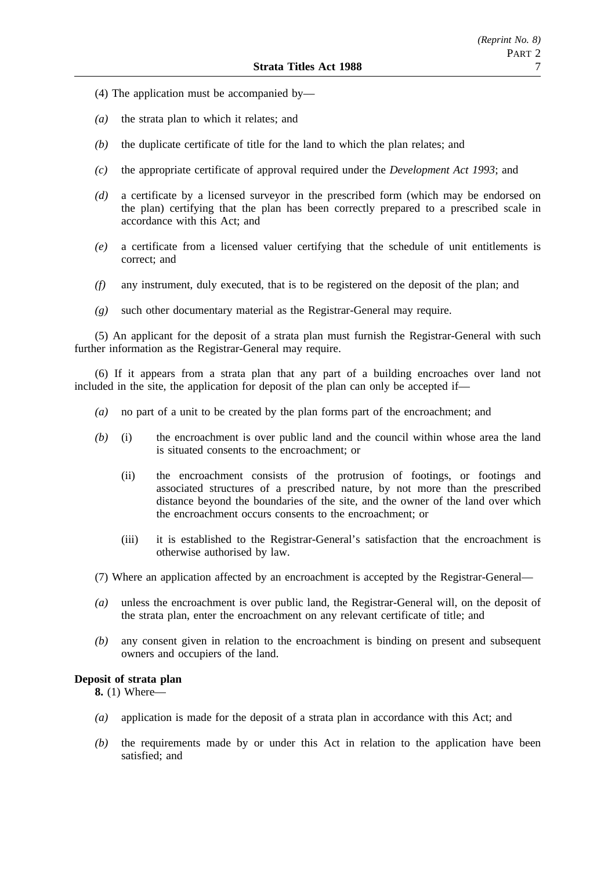- (4) The application must be accompanied by—
- *(a)* the strata plan to which it relates; and
- *(b)* the duplicate certificate of title for the land to which the plan relates; and
- *(c)* the appropriate certificate of approval required under the *Development Act 1993*; and
- *(d)* a certificate by a licensed surveyor in the prescribed form (which may be endorsed on the plan) certifying that the plan has been correctly prepared to a prescribed scale in accordance with this Act; and
- *(e)* a certificate from a licensed valuer certifying that the schedule of unit entitlements is correct; and
- *(f)* any instrument, duly executed, that is to be registered on the deposit of the plan; and
- *(g)* such other documentary material as the Registrar-General may require.

(5) An applicant for the deposit of a strata plan must furnish the Registrar-General with such further information as the Registrar-General may require.

(6) If it appears from a strata plan that any part of a building encroaches over land not included in the site, the application for deposit of the plan can only be accepted if—

- *(a)* no part of a unit to be created by the plan forms part of the encroachment; and
- *(b)* (i) the encroachment is over public land and the council within whose area the land is situated consents to the encroachment; or
	- (ii) the encroachment consists of the protrusion of footings, or footings and associated structures of a prescribed nature, by not more than the prescribed distance beyond the boundaries of the site, and the owner of the land over which the encroachment occurs consents to the encroachment; or
	- (iii) it is established to the Registrar-General's satisfaction that the encroachment is otherwise authorised by law.
- (7) Where an application affected by an encroachment is accepted by the Registrar-General—
- *(a)* unless the encroachment is over public land, the Registrar-General will, on the deposit of the strata plan, enter the encroachment on any relevant certificate of title; and
- *(b)* any consent given in relation to the encroachment is binding on present and subsequent owners and occupiers of the land.

### **Deposit of strata plan**

**8.** (1) Where—

- *(a)* application is made for the deposit of a strata plan in accordance with this Act; and
- *(b)* the requirements made by or under this Act in relation to the application have been satisfied; and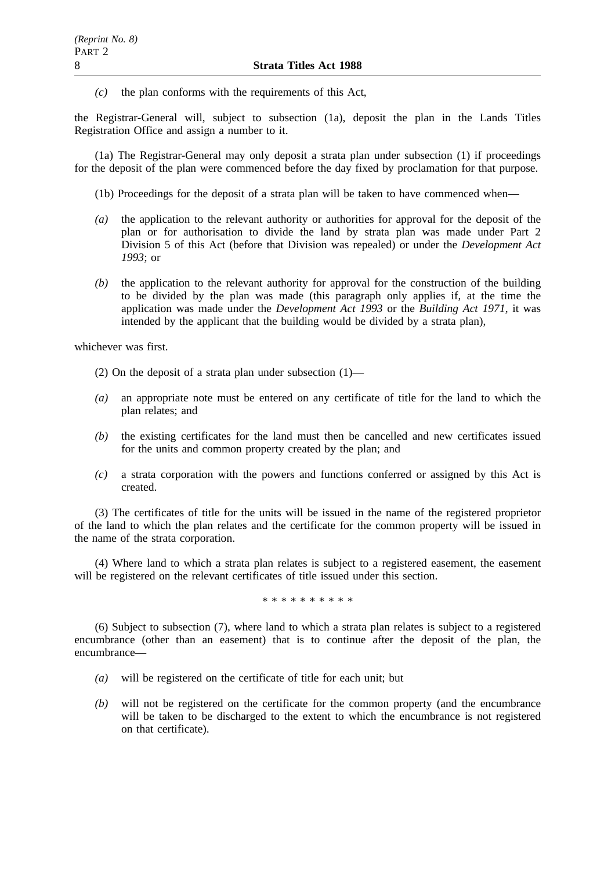*(c)* the plan conforms with the requirements of this Act,

the Registrar-General will, subject to subsection (1a), deposit the plan in the Lands Titles Registration Office and assign a number to it.

(1a) The Registrar-General may only deposit a strata plan under subsection (1) if proceedings for the deposit of the plan were commenced before the day fixed by proclamation for that purpose.

(1b) Proceedings for the deposit of a strata plan will be taken to have commenced when—

- *(a)* the application to the relevant authority or authorities for approval for the deposit of the plan or for authorisation to divide the land by strata plan was made under Part 2 Division 5 of this Act (before that Division was repealed) or under the *Development Act 1993*; or
- *(b)* the application to the relevant authority for approval for the construction of the building to be divided by the plan was made (this paragraph only applies if, at the time the application was made under the *Development Act 1993* or the *Building Act 1971*, it was intended by the applicant that the building would be divided by a strata plan),

whichever was first.

- (2) On the deposit of a strata plan under subsection  $(1)$ —
- *(a)* an appropriate note must be entered on any certificate of title for the land to which the plan relates; and
- *(b)* the existing certificates for the land must then be cancelled and new certificates issued for the units and common property created by the plan; and
- *(c)* a strata corporation with the powers and functions conferred or assigned by this Act is created.

(3) The certificates of title for the units will be issued in the name of the registered proprietor of the land to which the plan relates and the certificate for the common property will be issued in the name of the strata corporation.

(4) Where land to which a strata plan relates is subject to a registered easement, the easement will be registered on the relevant certificates of title issued under this section.

\*\*\*\*\*\*\*\*\*\*

(6) Subject to subsection (7), where land to which a strata plan relates is subject to a registered encumbrance (other than an easement) that is to continue after the deposit of the plan, the encumbrance—

- *(a)* will be registered on the certificate of title for each unit; but
- *(b)* will not be registered on the certificate for the common property (and the encumbrance will be taken to be discharged to the extent to which the encumbrance is not registered on that certificate).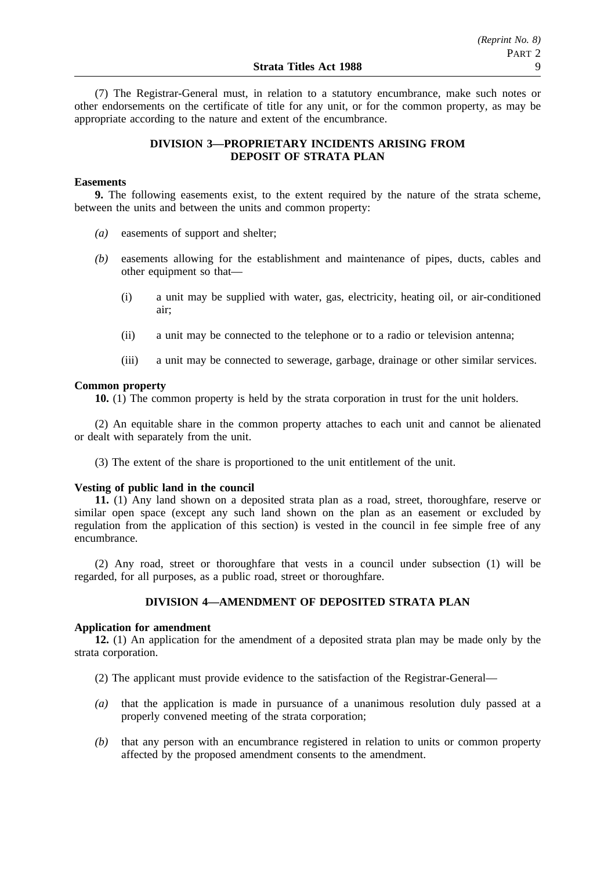(7) The Registrar-General must, in relation to a statutory encumbrance, make such notes or other endorsements on the certificate of title for any unit, or for the common property, as may be appropriate according to the nature and extent of the encumbrance.

### **DIVISION 3—PROPRIETARY INCIDENTS ARISING FROM DEPOSIT OF STRATA PLAN**

### **Easements**

**9.** The following easements exist, to the extent required by the nature of the strata scheme, between the units and between the units and common property:

- *(a)* easements of support and shelter;
- *(b)* easements allowing for the establishment and maintenance of pipes, ducts, cables and other equipment so that—
	- (i) a unit may be supplied with water, gas, electricity, heating oil, or air-conditioned air;
	- (ii) a unit may be connected to the telephone or to a radio or television antenna;
	- (iii) a unit may be connected to sewerage, garbage, drainage or other similar services.

#### **Common property**

**10.** (1) The common property is held by the strata corporation in trust for the unit holders.

(2) An equitable share in the common property attaches to each unit and cannot be alienated or dealt with separately from the unit.

(3) The extent of the share is proportioned to the unit entitlement of the unit.

#### **Vesting of public land in the council**

**11.** (1) Any land shown on a deposited strata plan as a road, street, thoroughfare, reserve or similar open space (except any such land shown on the plan as an easement or excluded by regulation from the application of this section) is vested in the council in fee simple free of any encumbrance.

(2) Any road, street or thoroughfare that vests in a council under subsection (1) will be regarded, for all purposes, as a public road, street or thoroughfare.

### **DIVISION 4—AMENDMENT OF DEPOSITED STRATA PLAN**

### **Application for amendment**

**12.** (1) An application for the amendment of a deposited strata plan may be made only by the strata corporation.

- (2) The applicant must provide evidence to the satisfaction of the Registrar-General—
- *(a)* that the application is made in pursuance of a unanimous resolution duly passed at a properly convened meeting of the strata corporation;
- *(b)* that any person with an encumbrance registered in relation to units or common property affected by the proposed amendment consents to the amendment.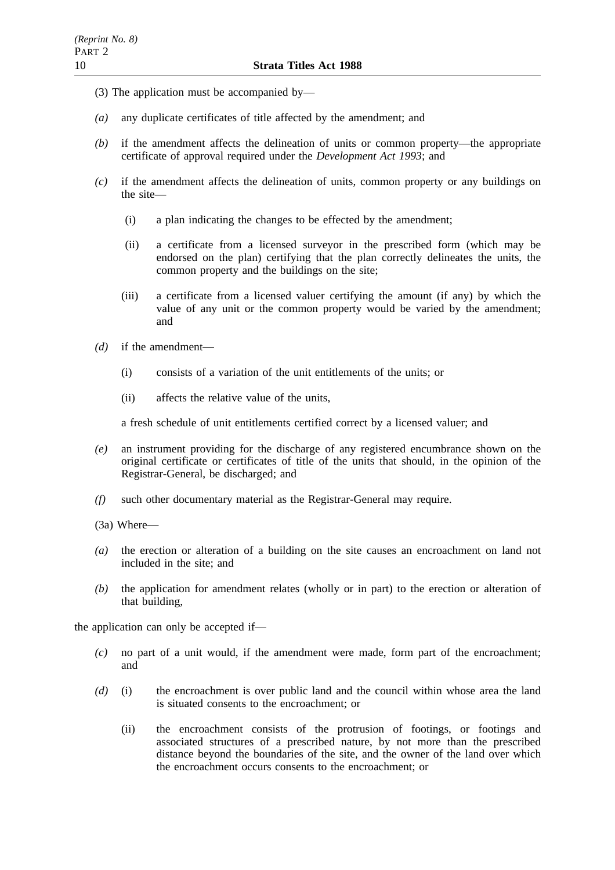- (3) The application must be accompanied by—
- *(a)* any duplicate certificates of title affected by the amendment; and
- *(b)* if the amendment affects the delineation of units or common property—the appropriate certificate of approval required under the *Development Act 1993*; and
- *(c)* if the amendment affects the delineation of units, common property or any buildings on the site—
	- (i) a plan indicating the changes to be effected by the amendment;
	- (ii) a certificate from a licensed surveyor in the prescribed form (which may be endorsed on the plan) certifying that the plan correctly delineates the units, the common property and the buildings on the site;
	- (iii) a certificate from a licensed valuer certifying the amount (if any) by which the value of any unit or the common property would be varied by the amendment; and
- *(d)* if the amendment—
	- (i) consists of a variation of the unit entitlements of the units; or
	- (ii) affects the relative value of the units,

a fresh schedule of unit entitlements certified correct by a licensed valuer; and

- *(e)* an instrument providing for the discharge of any registered encumbrance shown on the original certificate or certificates of title of the units that should, in the opinion of the Registrar-General, be discharged; and
- *(f)* such other documentary material as the Registrar-General may require.
- (3a) Where—
- *(a)* the erection or alteration of a building on the site causes an encroachment on land not included in the site; and
- *(b)* the application for amendment relates (wholly or in part) to the erection or alteration of that building,

the application can only be accepted if—

- *(c)* no part of a unit would, if the amendment were made, form part of the encroachment; and
- *(d)* (i) the encroachment is over public land and the council within whose area the land is situated consents to the encroachment; or
	- (ii) the encroachment consists of the protrusion of footings, or footings and associated structures of a prescribed nature, by not more than the prescribed distance beyond the boundaries of the site, and the owner of the land over which the encroachment occurs consents to the encroachment; or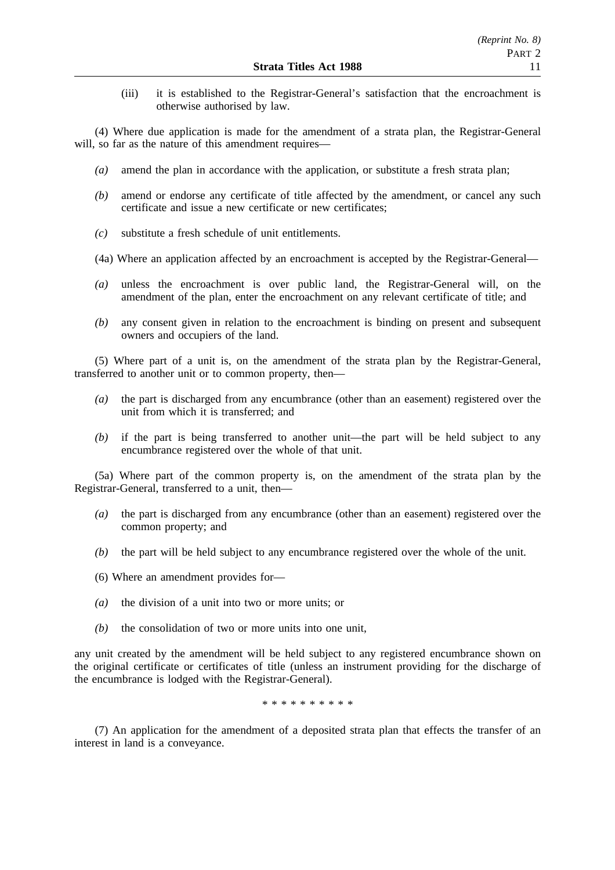(iii) it is established to the Registrar-General's satisfaction that the encroachment is otherwise authorised by law.

(4) Where due application is made for the amendment of a strata plan, the Registrar-General will, so far as the nature of this amendment requires—

- *(a)* amend the plan in accordance with the application, or substitute a fresh strata plan;
- *(b)* amend or endorse any certificate of title affected by the amendment, or cancel any such certificate and issue a new certificate or new certificates;
- *(c)* substitute a fresh schedule of unit entitlements.
- (4a) Where an application affected by an encroachment is accepted by the Registrar-General—
- *(a)* unless the encroachment is over public land, the Registrar-General will, on the amendment of the plan, enter the encroachment on any relevant certificate of title; and
- *(b)* any consent given in relation to the encroachment is binding on present and subsequent owners and occupiers of the land.

(5) Where part of a unit is, on the amendment of the strata plan by the Registrar-General, transferred to another unit or to common property, then—

- *(a)* the part is discharged from any encumbrance (other than an easement) registered over the unit from which it is transferred; and
- *(b)* if the part is being transferred to another unit—the part will be held subject to any encumbrance registered over the whole of that unit.

(5a) Where part of the common property is, on the amendment of the strata plan by the Registrar-General, transferred to a unit, then—

- *(a)* the part is discharged from any encumbrance (other than an easement) registered over the common property; and
- *(b)* the part will be held subject to any encumbrance registered over the whole of the unit.
- (6) Where an amendment provides for—
- *(a)* the division of a unit into two or more units; or
- *(b)* the consolidation of two or more units into one unit,

any unit created by the amendment will be held subject to any registered encumbrance shown on the original certificate or certificates of title (unless an instrument providing for the discharge of the encumbrance is lodged with the Registrar-General).

\*\*\*\*\*\*\*\*\*\*

(7) An application for the amendment of a deposited strata plan that effects the transfer of an interest in land is a conveyance.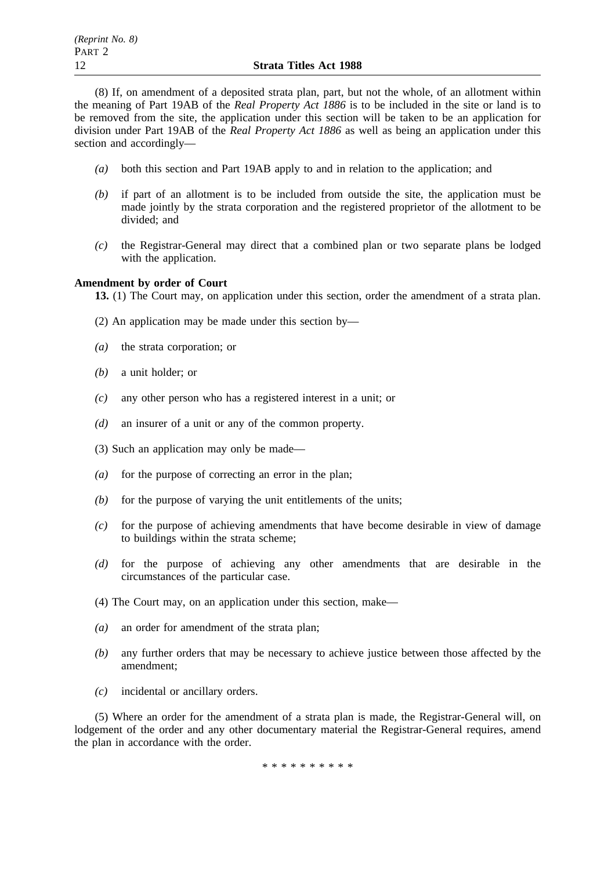(8) If, on amendment of a deposited strata plan, part, but not the whole, of an allotment within the meaning of Part 19AB of the *Real Property Act 1886* is to be included in the site or land is to be removed from the site, the application under this section will be taken to be an application for division under Part 19AB of the *Real Property Act 1886* as well as being an application under this section and accordingly—

- *(a)* both this section and Part 19AB apply to and in relation to the application; and
- *(b)* if part of an allotment is to be included from outside the site, the application must be made jointly by the strata corporation and the registered proprietor of the allotment to be divided; and
- *(c)* the Registrar-General may direct that a combined plan or two separate plans be lodged with the application.

### **Amendment by order of Court**

**13.** (1) The Court may, on application under this section, order the amendment of a strata plan.

- (2) An application may be made under this section by—
- *(a)* the strata corporation; or
- *(b)* a unit holder; or
- *(c)* any other person who has a registered interest in a unit; or
- *(d)* an insurer of a unit or any of the common property.
- (3) Such an application may only be made—
- *(a)* for the purpose of correcting an error in the plan;
- *(b)* for the purpose of varying the unit entitlements of the units;
- *(c)* for the purpose of achieving amendments that have become desirable in view of damage to buildings within the strata scheme;
- *(d)* for the purpose of achieving any other amendments that are desirable in the circumstances of the particular case.
- (4) The Court may, on an application under this section, make—
- *(a)* an order for amendment of the strata plan;
- *(b)* any further orders that may be necessary to achieve justice between those affected by the amendment;
- *(c)* incidental or ancillary orders.

(5) Where an order for the amendment of a strata plan is made, the Registrar-General will, on lodgement of the order and any other documentary material the Registrar-General requires, amend the plan in accordance with the order.

\*\*\*\*\*\*\*\*\*\*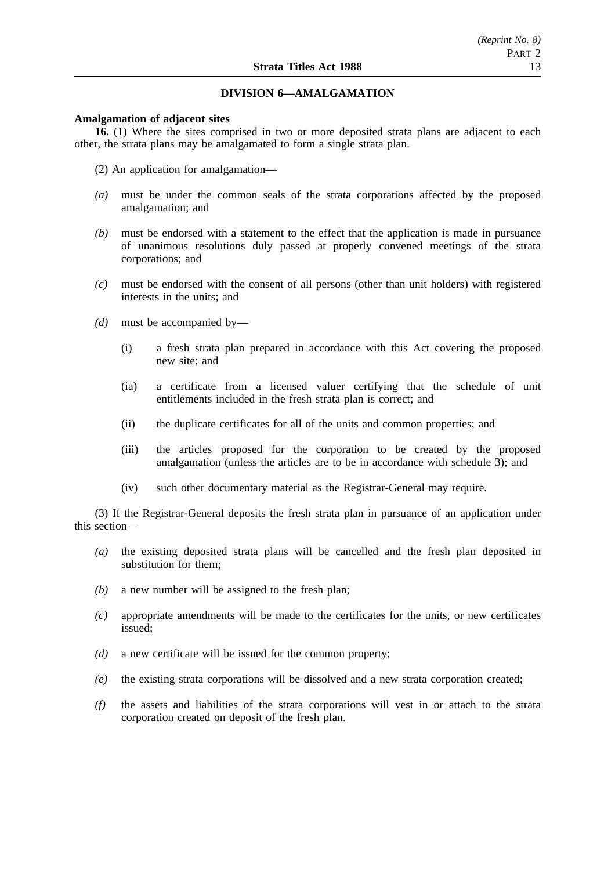### **DIVISION 6—AMALGAMATION**

### **Amalgamation of adjacent sites**

**16.** (1) Where the sites comprised in two or more deposited strata plans are adjacent to each other, the strata plans may be amalgamated to form a single strata plan.

- (2) An application for amalgamation—
- *(a)* must be under the common seals of the strata corporations affected by the proposed amalgamation; and
- *(b)* must be endorsed with a statement to the effect that the application is made in pursuance of unanimous resolutions duly passed at properly convened meetings of the strata corporations; and
- *(c)* must be endorsed with the consent of all persons (other than unit holders) with registered interests in the units; and
- *(d)* must be accompanied by—
	- (i) a fresh strata plan prepared in accordance with this Act covering the proposed new site; and
	- (ia) a certificate from a licensed valuer certifying that the schedule of unit entitlements included in the fresh strata plan is correct; and
	- (ii) the duplicate certificates for all of the units and common properties; and
	- (iii) the articles proposed for the corporation to be created by the proposed amalgamation (unless the articles are to be in accordance with schedule 3); and
	- (iv) such other documentary material as the Registrar-General may require.

(3) If the Registrar-General deposits the fresh strata plan in pursuance of an application under this section—

- *(a)* the existing deposited strata plans will be cancelled and the fresh plan deposited in substitution for them;
- *(b)* a new number will be assigned to the fresh plan;
- *(c)* appropriate amendments will be made to the certificates for the units, or new certificates issued;
- *(d)* a new certificate will be issued for the common property;
- *(e)* the existing strata corporations will be dissolved and a new strata corporation created;
- *(f)* the assets and liabilities of the strata corporations will vest in or attach to the strata corporation created on deposit of the fresh plan.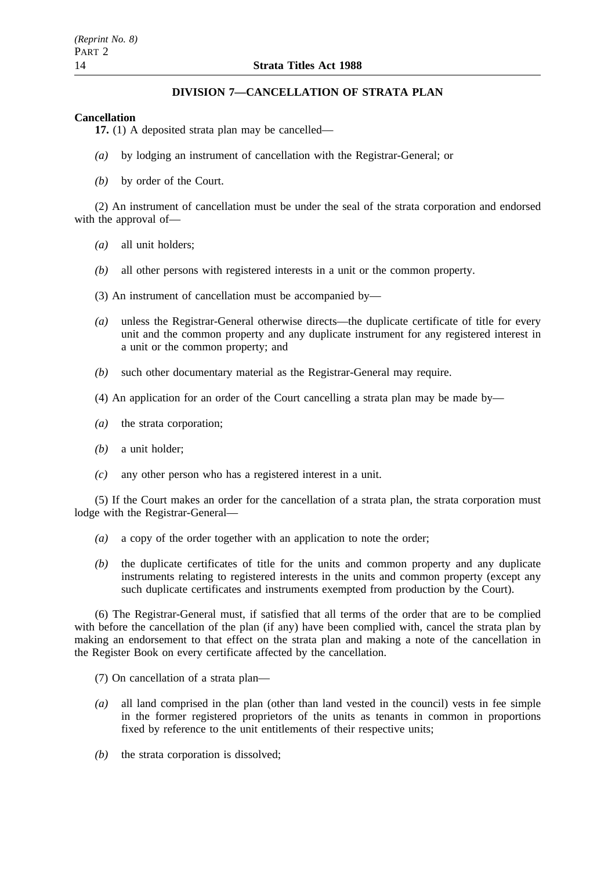### **DIVISION 7—CANCELLATION OF STRATA PLAN**

### **Cancellation**

**17.** (1) A deposited strata plan may be cancelled—

- *(a)* by lodging an instrument of cancellation with the Registrar-General; or
- *(b)* by order of the Court.

(2) An instrument of cancellation must be under the seal of the strata corporation and endorsed with the approval of—

- *(a)* all unit holders;
- *(b)* all other persons with registered interests in a unit or the common property.
- (3) An instrument of cancellation must be accompanied by—
- *(a)* unless the Registrar-General otherwise directs—the duplicate certificate of title for every unit and the common property and any duplicate instrument for any registered interest in a unit or the common property; and
- *(b)* such other documentary material as the Registrar-General may require.
- (4) An application for an order of the Court cancelling a strata plan may be made by—
- *(a)* the strata corporation;
- *(b)* a unit holder;
- *(c)* any other person who has a registered interest in a unit.

(5) If the Court makes an order for the cancellation of a strata plan, the strata corporation must lodge with the Registrar-General—

- *(a)* a copy of the order together with an application to note the order;
- *(b)* the duplicate certificates of title for the units and common property and any duplicate instruments relating to registered interests in the units and common property (except any such duplicate certificates and instruments exempted from production by the Court).

(6) The Registrar-General must, if satisfied that all terms of the order that are to be complied with before the cancellation of the plan (if any) have been complied with, cancel the strata plan by making an endorsement to that effect on the strata plan and making a note of the cancellation in the Register Book on every certificate affected by the cancellation.

- (7) On cancellation of a strata plan—
- *(a)* all land comprised in the plan (other than land vested in the council) vests in fee simple in the former registered proprietors of the units as tenants in common in proportions fixed by reference to the unit entitlements of their respective units;
- *(b)* the strata corporation is dissolved;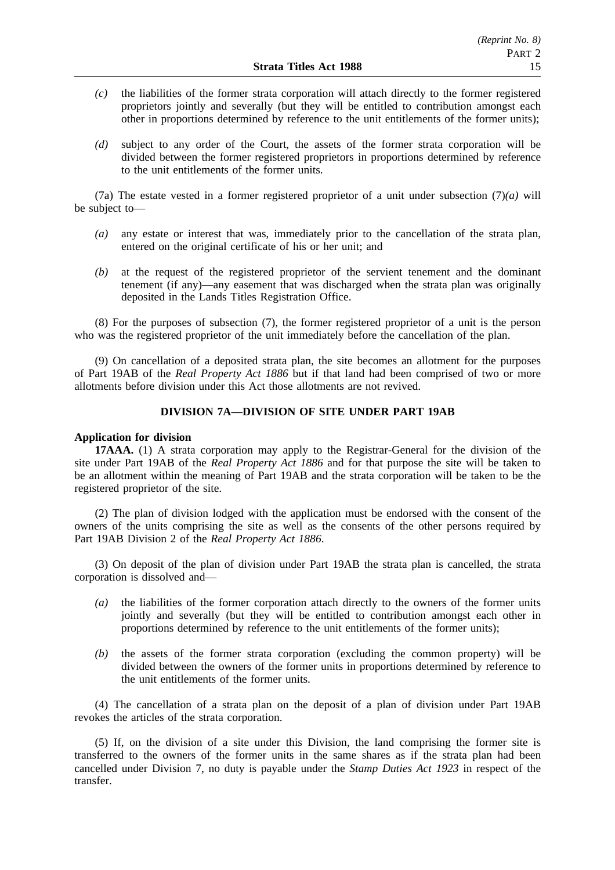- *(c)* the liabilities of the former strata corporation will attach directly to the former registered proprietors jointly and severally (but they will be entitled to contribution amongst each other in proportions determined by reference to the unit entitlements of the former units);
- *(d)* subject to any order of the Court, the assets of the former strata corporation will be divided between the former registered proprietors in proportions determined by reference to the unit entitlements of the former units.

(7a) The estate vested in a former registered proprietor of a unit under subsection (7)*(a)* will be subject to—

- *(a)* any estate or interest that was, immediately prior to the cancellation of the strata plan, entered on the original certificate of his or her unit; and
- *(b)* at the request of the registered proprietor of the servient tenement and the dominant tenement (if any)—any easement that was discharged when the strata plan was originally deposited in the Lands Titles Registration Office.

(8) For the purposes of subsection (7), the former registered proprietor of a unit is the person who was the registered proprietor of the unit immediately before the cancellation of the plan.

(9) On cancellation of a deposited strata plan, the site becomes an allotment for the purposes of Part 19AB of the *Real Property Act 1886* but if that land had been comprised of two or more allotments before division under this Act those allotments are not revived.

### **DIVISION 7A—DIVISION OF SITE UNDER PART 19AB**

### **Application for division**

**17AAA.** (1) A strata corporation may apply to the Registrar-General for the division of the site under Part 19AB of the *Real Property Act 1886* and for that purpose the site will be taken to be an allotment within the meaning of Part 19AB and the strata corporation will be taken to be the registered proprietor of the site.

(2) The plan of division lodged with the application must be endorsed with the consent of the owners of the units comprising the site as well as the consents of the other persons required by Part 19AB Division 2 of the *Real Property Act 1886*.

(3) On deposit of the plan of division under Part 19AB the strata plan is cancelled, the strata corporation is dissolved and—

- *(a)* the liabilities of the former corporation attach directly to the owners of the former units jointly and severally (but they will be entitled to contribution amongst each other in proportions determined by reference to the unit entitlements of the former units);
- *(b)* the assets of the former strata corporation (excluding the common property) will be divided between the owners of the former units in proportions determined by reference to the unit entitlements of the former units.

(4) The cancellation of a strata plan on the deposit of a plan of division under Part 19AB revokes the articles of the strata corporation.

(5) If, on the division of a site under this Division, the land comprising the former site is transferred to the owners of the former units in the same shares as if the strata plan had been cancelled under Division 7, no duty is payable under the *Stamp Duties Act 1923* in respect of the transfer.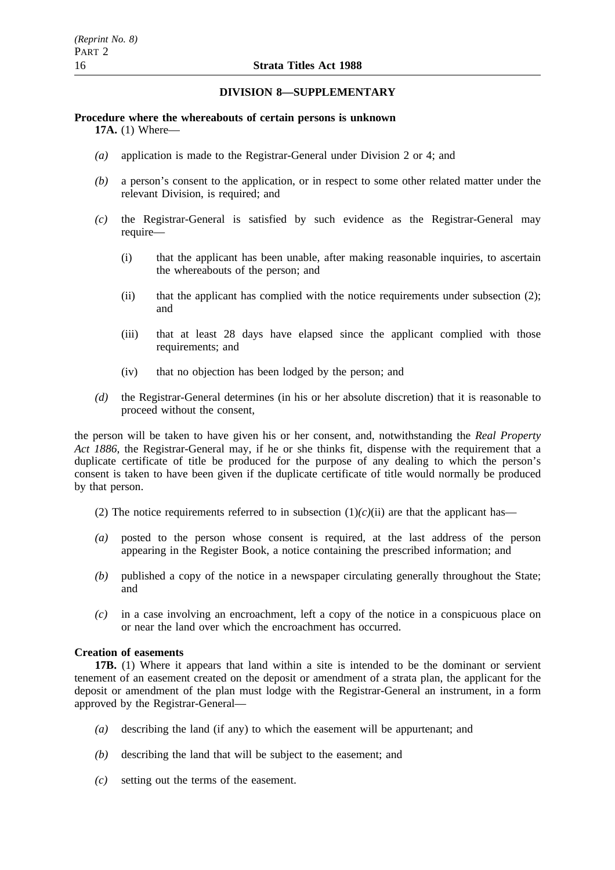### **DIVISION 8—SUPPLEMENTARY**

# **Procedure where the whereabouts of certain persons is unknown**

**17A.** (1) Where—

- *(a)* application is made to the Registrar-General under Division 2 or 4; and
- *(b)* a person's consent to the application, or in respect to some other related matter under the relevant Division, is required; and
- *(c)* the Registrar-General is satisfied by such evidence as the Registrar-General may require—
	- (i) that the applicant has been unable, after making reasonable inquiries, to ascertain the whereabouts of the person; and
	- (ii) that the applicant has complied with the notice requirements under subsection (2); and
	- (iii) that at least 28 days have elapsed since the applicant complied with those requirements; and
	- (iv) that no objection has been lodged by the person; and
- *(d)* the Registrar-General determines (in his or her absolute discretion) that it is reasonable to proceed without the consent,

the person will be taken to have given his or her consent, and, notwithstanding the *Real Property Act 1886*, the Registrar-General may, if he or she thinks fit, dispense with the requirement that a duplicate certificate of title be produced for the purpose of any dealing to which the person's consent is taken to have been given if the duplicate certificate of title would normally be produced by that person.

- (2) The notice requirements referred to in subsection  $(1)(c)(ii)$  are that the applicant has—
- *(a)* posted to the person whose consent is required, at the last address of the person appearing in the Register Book, a notice containing the prescribed information; and
- *(b)* published a copy of the notice in a newspaper circulating generally throughout the State; and
- *(c)* in a case involving an encroachment, left a copy of the notice in a conspicuous place on or near the land over which the encroachment has occurred.

### **Creation of easements**

**17B.** (1) Where it appears that land within a site is intended to be the dominant or servient tenement of an easement created on the deposit or amendment of a strata plan, the applicant for the deposit or amendment of the plan must lodge with the Registrar-General an instrument, in a form approved by the Registrar-General—

- *(a)* describing the land (if any) to which the easement will be appurtenant; and
- *(b)* describing the land that will be subject to the easement; and
- *(c)* setting out the terms of the easement.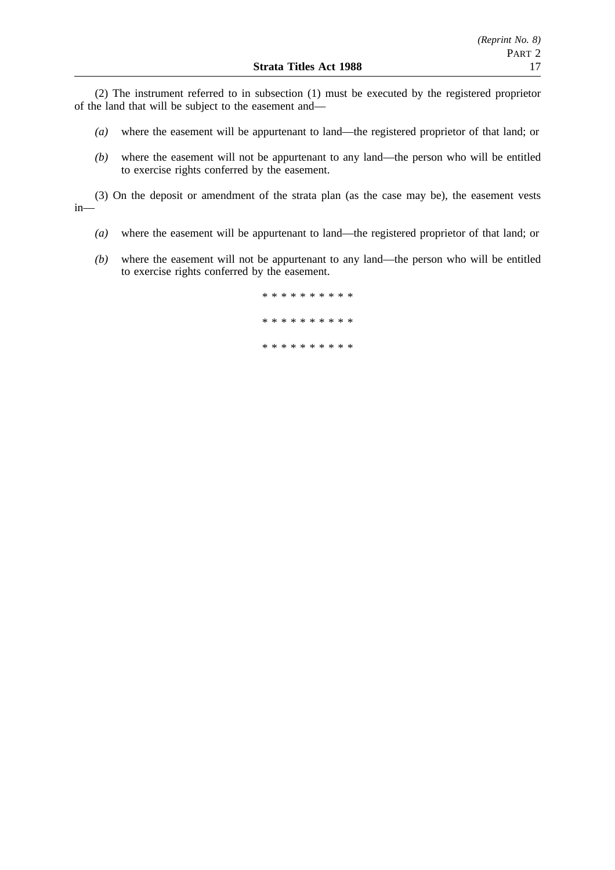(2) The instrument referred to in subsection (1) must be executed by the registered proprietor of the land that will be subject to the easement and—

- *(a)* where the easement will be appurtenant to land—the registered proprietor of that land; or
- *(b)* where the easement will not be appurtenant to any land—the person who will be entitled to exercise rights conferred by the easement.

(3) On the deposit or amendment of the strata plan (as the case may be), the easement vests in—

- *(a)* where the easement will be appurtenant to land—the registered proprietor of that land; or
- *(b)* where the easement will not be appurtenant to any land—the person who will be entitled to exercise rights conferred by the easement.

\*\*\*\*\*\*\*\*\*\* \*\*\*\*\*\*\*\*\*\* \*\*\*\*\*\*\*\*\*\*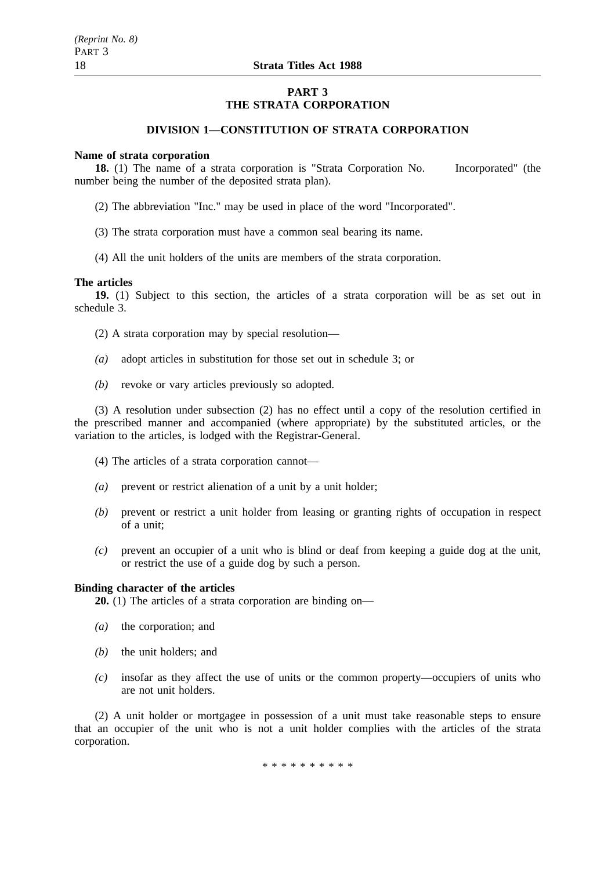### **PART 3 THE STRATA CORPORATION**

### **DIVISION 1—CONSTITUTION OF STRATA CORPORATION**

#### **Name of strata corporation**

**18.** (1) The name of a strata corporation is "Strata Corporation No. Incorporated" (the number being the number of the deposited strata plan).

- (2) The abbreviation "Inc." may be used in place of the word "Incorporated".
- (3) The strata corporation must have a common seal bearing its name.
- (4) All the unit holders of the units are members of the strata corporation.

#### **The articles**

**19.** (1) Subject to this section, the articles of a strata corporation will be as set out in schedule 3.

(2) A strata corporation may by special resolution—

- *(a)* adopt articles in substitution for those set out in schedule 3; or
- *(b)* revoke or vary articles previously so adopted.

(3) A resolution under subsection (2) has no effect until a copy of the resolution certified in the prescribed manner and accompanied (where appropriate) by the substituted articles, or the variation to the articles, is lodged with the Registrar-General.

- (4) The articles of a strata corporation cannot—
- *(a)* prevent or restrict alienation of a unit by a unit holder;
- *(b)* prevent or restrict a unit holder from leasing or granting rights of occupation in respect of a unit;
- *(c)* prevent an occupier of a unit who is blind or deaf from keeping a guide dog at the unit, or restrict the use of a guide dog by such a person.

### **Binding character of the articles**

**20.** (1) The articles of a strata corporation are binding on—

- *(a)* the corporation; and
- *(b)* the unit holders; and
- *(c)* insofar as they affect the use of units or the common property—occupiers of units who are not unit holders.

(2) A unit holder or mortgagee in possession of a unit must take reasonable steps to ensure that an occupier of the unit who is not a unit holder complies with the articles of the strata corporation.

\*\*\*\*\*\*\*\*\*\*\*\*\*\*\*\*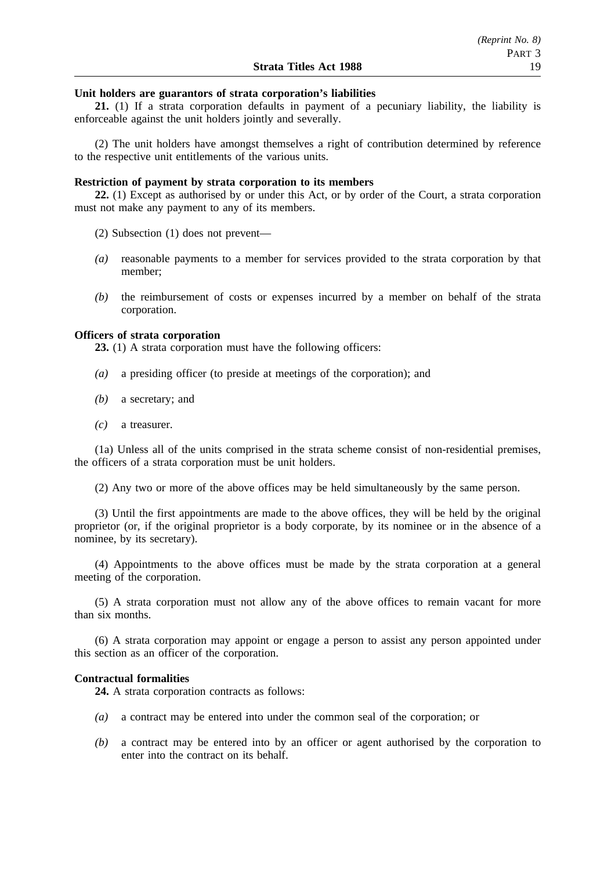#### **Unit holders are guarantors of strata corporation's liabilities**

**21.** (1) If a strata corporation defaults in payment of a pecuniary liability, the liability is enforceable against the unit holders jointly and severally.

(2) The unit holders have amongst themselves a right of contribution determined by reference to the respective unit entitlements of the various units.

#### **Restriction of payment by strata corporation to its members**

**22.** (1) Except as authorised by or under this Act, or by order of the Court, a strata corporation must not make any payment to any of its members.

(2) Subsection (1) does not prevent—

- *(a)* reasonable payments to a member for services provided to the strata corporation by that member;
- *(b)* the reimbursement of costs or expenses incurred by a member on behalf of the strata corporation.

### **Officers of strata corporation**

**23.** (1) A strata corporation must have the following officers:

- *(a)* a presiding officer (to preside at meetings of the corporation); and
- *(b)* a secretary; and
- *(c)* a treasurer.

(1a) Unless all of the units comprised in the strata scheme consist of non-residential premises, the officers of a strata corporation must be unit holders.

(2) Any two or more of the above offices may be held simultaneously by the same person.

(3) Until the first appointments are made to the above offices, they will be held by the original proprietor (or, if the original proprietor is a body corporate, by its nominee or in the absence of a nominee, by its secretary).

(4) Appointments to the above offices must be made by the strata corporation at a general meeting of the corporation.

(5) A strata corporation must not allow any of the above offices to remain vacant for more than six months.

(6) A strata corporation may appoint or engage a person to assist any person appointed under this section as an officer of the corporation.

#### **Contractual formalities**

**24.** A strata corporation contracts as follows:

- *(a)* a contract may be entered into under the common seal of the corporation; or
- *(b)* a contract may be entered into by an officer or agent authorised by the corporation to enter into the contract on its behalf.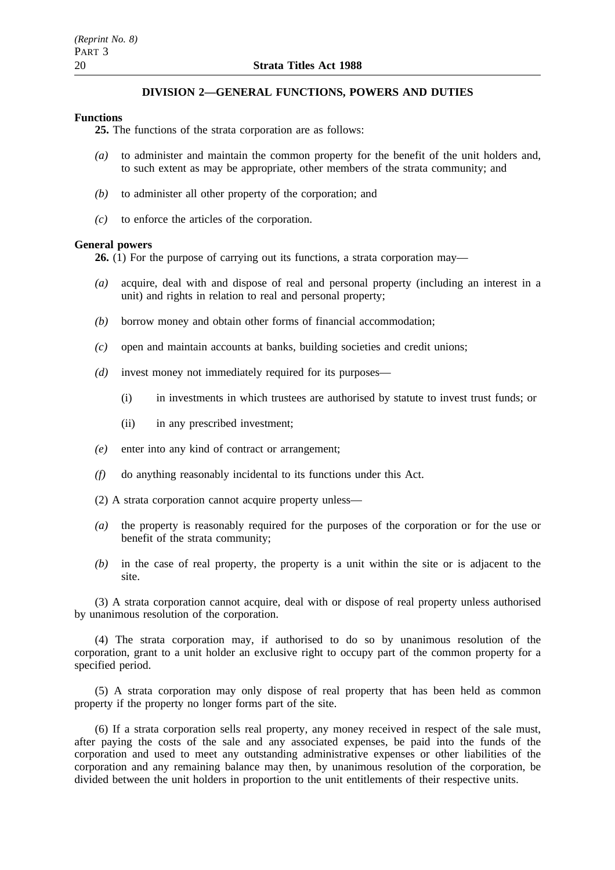### **DIVISION 2—GENERAL FUNCTIONS, POWERS AND DUTIES**

#### **Functions**

**25.** The functions of the strata corporation are as follows:

- *(a)* to administer and maintain the common property for the benefit of the unit holders and, to such extent as may be appropriate, other members of the strata community; and
- *(b)* to administer all other property of the corporation; and
- *(c)* to enforce the articles of the corporation.

### **General powers**

**26.** (1) For the purpose of carrying out its functions, a strata corporation may—

- *(a)* acquire, deal with and dispose of real and personal property (including an interest in a unit) and rights in relation to real and personal property;
- *(b)* borrow money and obtain other forms of financial accommodation;
- *(c)* open and maintain accounts at banks, building societies and credit unions;
- *(d)* invest money not immediately required for its purposes—
	- (i) in investments in which trustees are authorised by statute to invest trust funds; or
	- (ii) in any prescribed investment;
- *(e)* enter into any kind of contract or arrangement;
- *(f)* do anything reasonably incidental to its functions under this Act.
- (2) A strata corporation cannot acquire property unless—
- *(a)* the property is reasonably required for the purposes of the corporation or for the use or benefit of the strata community;
- *(b)* in the case of real property, the property is a unit within the site or is adjacent to the site.

(3) A strata corporation cannot acquire, deal with or dispose of real property unless authorised by unanimous resolution of the corporation.

(4) The strata corporation may, if authorised to do so by unanimous resolution of the corporation, grant to a unit holder an exclusive right to occupy part of the common property for a specified period.

(5) A strata corporation may only dispose of real property that has been held as common property if the property no longer forms part of the site.

(6) If a strata corporation sells real property, any money received in respect of the sale must, after paying the costs of the sale and any associated expenses, be paid into the funds of the corporation and used to meet any outstanding administrative expenses or other liabilities of the corporation and any remaining balance may then, by unanimous resolution of the corporation, be divided between the unit holders in proportion to the unit entitlements of their respective units.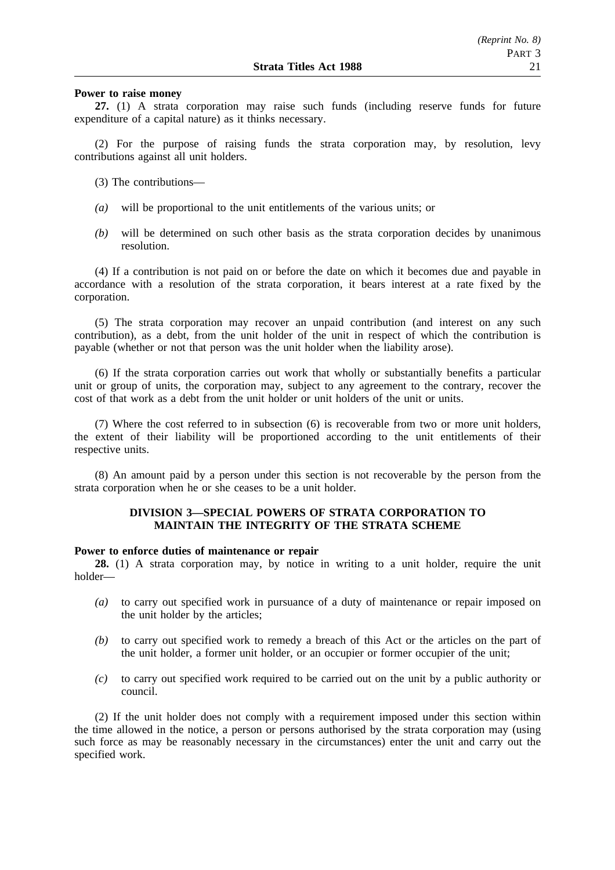#### **Power to raise money**

**27.** (1) A strata corporation may raise such funds (including reserve funds for future expenditure of a capital nature) as it thinks necessary.

(2) For the purpose of raising funds the strata corporation may, by resolution, levy contributions against all unit holders.

- (3) The contributions—
- *(a)* will be proportional to the unit entitlements of the various units; or
- *(b)* will be determined on such other basis as the strata corporation decides by unanimous resolution.

(4) If a contribution is not paid on or before the date on which it becomes due and payable in accordance with a resolution of the strata corporation, it bears interest at a rate fixed by the corporation.

(5) The strata corporation may recover an unpaid contribution (and interest on any such contribution), as a debt, from the unit holder of the unit in respect of which the contribution is payable (whether or not that person was the unit holder when the liability arose).

(6) If the strata corporation carries out work that wholly or substantially benefits a particular unit or group of units, the corporation may, subject to any agreement to the contrary, recover the cost of that work as a debt from the unit holder or unit holders of the unit or units.

(7) Where the cost referred to in subsection (6) is recoverable from two or more unit holders, the extent of their liability will be proportioned according to the unit entitlements of their respective units.

(8) An amount paid by a person under this section is not recoverable by the person from the strata corporation when he or she ceases to be a unit holder.

### **DIVISION 3—SPECIAL POWERS OF STRATA CORPORATION TO MAINTAIN THE INTEGRITY OF THE STRATA SCHEME**

#### **Power to enforce duties of maintenance or repair**

**28.** (1) A strata corporation may, by notice in writing to a unit holder, require the unit holder—

- *(a)* to carry out specified work in pursuance of a duty of maintenance or repair imposed on the unit holder by the articles;
- *(b)* to carry out specified work to remedy a breach of this Act or the articles on the part of the unit holder, a former unit holder, or an occupier or former occupier of the unit;
- *(c)* to carry out specified work required to be carried out on the unit by a public authority or council.

(2) If the unit holder does not comply with a requirement imposed under this section within the time allowed in the notice, a person or persons authorised by the strata corporation may (using such force as may be reasonably necessary in the circumstances) enter the unit and carry out the specified work.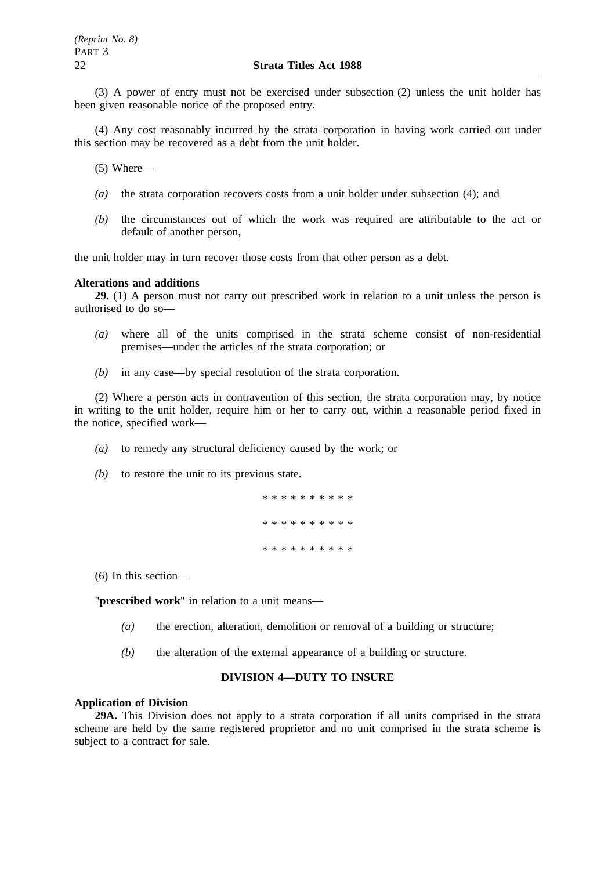(3) A power of entry must not be exercised under subsection (2) unless the unit holder has been given reasonable notice of the proposed entry.

(4) Any cost reasonably incurred by the strata corporation in having work carried out under this section may be recovered as a debt from the unit holder.

(5) Where—

- *(a)* the strata corporation recovers costs from a unit holder under subsection (4); and
- *(b)* the circumstances out of which the work was required are attributable to the act or default of another person,

the unit holder may in turn recover those costs from that other person as a debt.

#### **Alterations and additions**

**29.** (1) A person must not carry out prescribed work in relation to a unit unless the person is authorised to do so—

- *(a)* where all of the units comprised in the strata scheme consist of non-residential premises—under the articles of the strata corporation; or
- *(b)* in any case—by special resolution of the strata corporation.

(2) Where a person acts in contravention of this section, the strata corporation may, by notice in writing to the unit holder, require him or her to carry out, within a reasonable period fixed in the notice, specified work—

- *(a)* to remedy any structural deficiency caused by the work; or
- *(b)* to restore the unit to its previous state.

\*\*\*\*\*\*\*\*\*\* \*\*\*\*\*\*\*\*\*\* \*\*\*\*\*\*\*\*\*\*

(6) In this section—

"**prescribed work**" in relation to a unit means—

- *(a)* the erection, alteration, demolition or removal of a building or structure;
- *(b)* the alteration of the external appearance of a building or structure.

#### **DIVISION 4—DUTY TO INSURE**

#### **Application of Division**

**29A.** This Division does not apply to a strata corporation if all units comprised in the strata scheme are held by the same registered proprietor and no unit comprised in the strata scheme is subject to a contract for sale.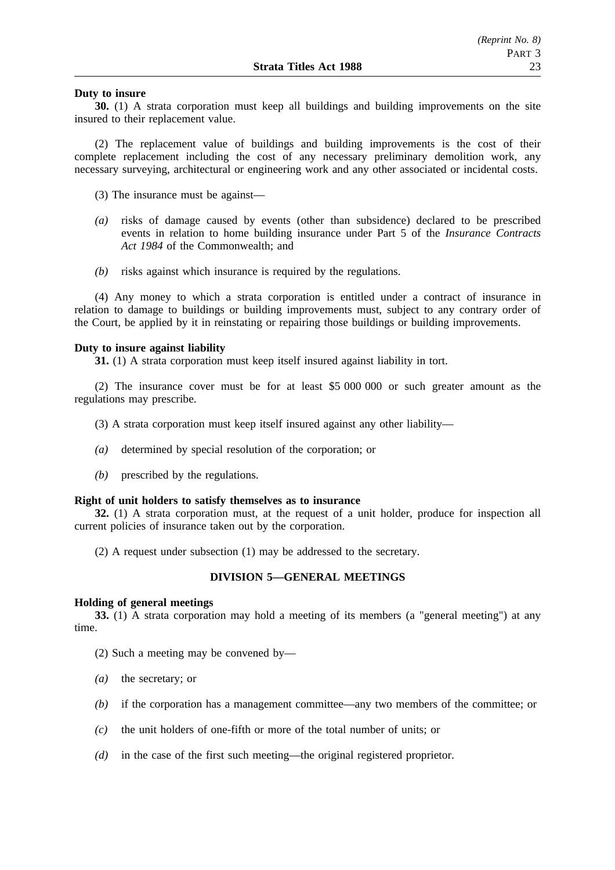#### **Duty to insure**

**30.** (1) A strata corporation must keep all buildings and building improvements on the site insured to their replacement value.

(2) The replacement value of buildings and building improvements is the cost of their complete replacement including the cost of any necessary preliminary demolition work, any necessary surveying, architectural or engineering work and any other associated or incidental costs.

(3) The insurance must be against—

- *(a)* risks of damage caused by events (other than subsidence) declared to be prescribed events in relation to home building insurance under Part 5 of the *Insurance Contracts Act 1984* of the Commonwealth; and
- *(b)* risks against which insurance is required by the regulations.

(4) Any money to which a strata corporation is entitled under a contract of insurance in relation to damage to buildings or building improvements must, subject to any contrary order of the Court, be applied by it in reinstating or repairing those buildings or building improvements.

#### **Duty to insure against liability**

**31.** (1) A strata corporation must keep itself insured against liability in tort.

(2) The insurance cover must be for at least \$5 000 000 or such greater amount as the regulations may prescribe.

(3) A strata corporation must keep itself insured against any other liability—

- *(a)* determined by special resolution of the corporation; or
- *(b)* prescribed by the regulations.

#### **Right of unit holders to satisfy themselves as to insurance**

**32.** (1) A strata corporation must, at the request of a unit holder, produce for inspection all current policies of insurance taken out by the corporation.

(2) A request under subsection (1) may be addressed to the secretary.

### **DIVISION 5—GENERAL MEETINGS**

#### **Holding of general meetings**

**33.** (1) A strata corporation may hold a meeting of its members (a "general meeting") at any time.

(2) Such a meeting may be convened by—

- *(a)* the secretary; or
- *(b)* if the corporation has a management committee—any two members of the committee; or
- *(c)* the unit holders of one-fifth or more of the total number of units; or
- *(d)* in the case of the first such meeting—the original registered proprietor.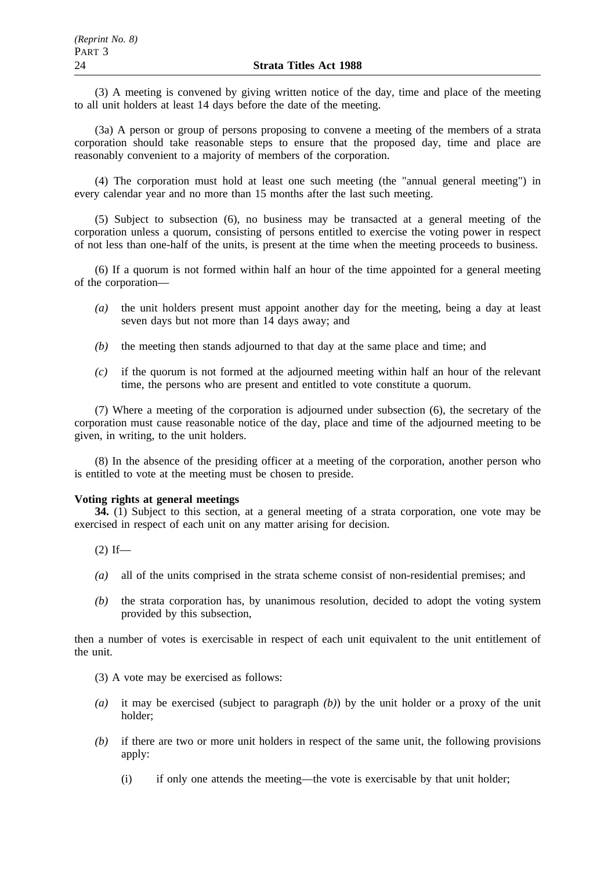(3) A meeting is convened by giving written notice of the day, time and place of the meeting to all unit holders at least 14 days before the date of the meeting.

(3a) A person or group of persons proposing to convene a meeting of the members of a strata corporation should take reasonable steps to ensure that the proposed day, time and place are reasonably convenient to a majority of members of the corporation.

(4) The corporation must hold at least one such meeting (the "annual general meeting") in every calendar year and no more than 15 months after the last such meeting.

(5) Subject to subsection (6), no business may be transacted at a general meeting of the corporation unless a quorum, consisting of persons entitled to exercise the voting power in respect of not less than one-half of the units, is present at the time when the meeting proceeds to business.

(6) If a quorum is not formed within half an hour of the time appointed for a general meeting of the corporation—

- *(a)* the unit holders present must appoint another day for the meeting, being a day at least seven days but not more than 14 days away; and
- *(b)* the meeting then stands adjourned to that day at the same place and time; and
- *(c)* if the quorum is not formed at the adjourned meeting within half an hour of the relevant time, the persons who are present and entitled to vote constitute a quorum.

(7) Where a meeting of the corporation is adjourned under subsection (6), the secretary of the corporation must cause reasonable notice of the day, place and time of the adjourned meeting to be given, in writing, to the unit holders.

(8) In the absence of the presiding officer at a meeting of the corporation, another person who is entitled to vote at the meeting must be chosen to preside.

#### **Voting rights at general meetings**

**34.** (1) Subject to this section, at a general meeting of a strata corporation, one vote may be exercised in respect of each unit on any matter arising for decision.

 $(2)$  If—

- *(a)* all of the units comprised in the strata scheme consist of non-residential premises; and
- *(b)* the strata corporation has, by unanimous resolution, decided to adopt the voting system provided by this subsection,

then a number of votes is exercisable in respect of each unit equivalent to the unit entitlement of the unit.

- (3) A vote may be exercised as follows:
- *(a)* it may be exercised (subject to paragraph *(b)*) by the unit holder or a proxy of the unit holder;
- *(b)* if there are two or more unit holders in respect of the same unit, the following provisions apply:
	- (i) if only one attends the meeting—the vote is exercisable by that unit holder;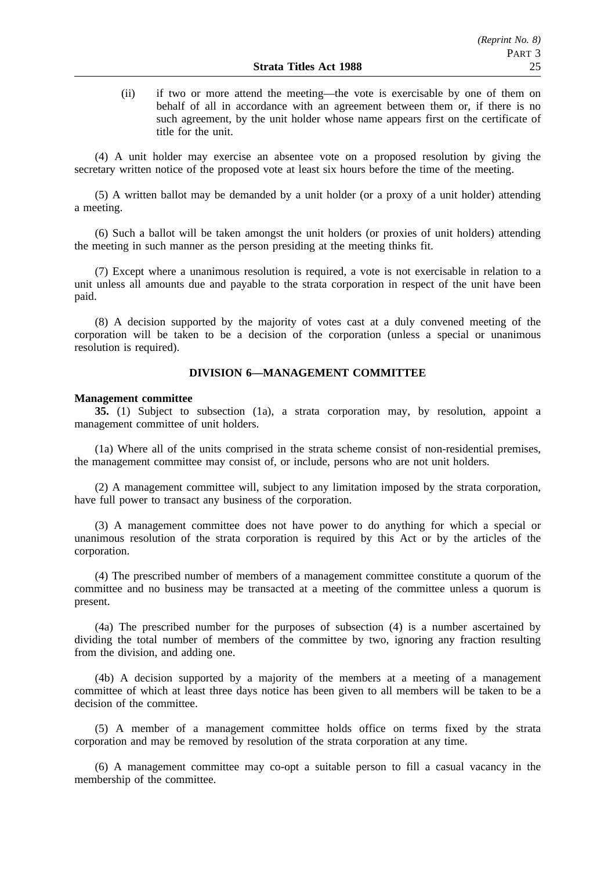(ii) if two or more attend the meeting—the vote is exercisable by one of them on behalf of all in accordance with an agreement between them or, if there is no such agreement, by the unit holder whose name appears first on the certificate of title for the unit.

(4) A unit holder may exercise an absentee vote on a proposed resolution by giving the secretary written notice of the proposed vote at least six hours before the time of the meeting.

(5) A written ballot may be demanded by a unit holder (or a proxy of a unit holder) attending a meeting.

(6) Such a ballot will be taken amongst the unit holders (or proxies of unit holders) attending the meeting in such manner as the person presiding at the meeting thinks fit.

(7) Except where a unanimous resolution is required, a vote is not exercisable in relation to a unit unless all amounts due and payable to the strata corporation in respect of the unit have been paid.

(8) A decision supported by the majority of votes cast at a duly convened meeting of the corporation will be taken to be a decision of the corporation (unless a special or unanimous resolution is required).

### **DIVISION 6—MANAGEMENT COMMITTEE**

#### **Management committee**

**35.** (1) Subject to subsection (1a), a strata corporation may, by resolution, appoint a management committee of unit holders.

(1a) Where all of the units comprised in the strata scheme consist of non-residential premises, the management committee may consist of, or include, persons who are not unit holders.

(2) A management committee will, subject to any limitation imposed by the strata corporation, have full power to transact any business of the corporation.

(3) A management committee does not have power to do anything for which a special or unanimous resolution of the strata corporation is required by this Act or by the articles of the corporation.

(4) The prescribed number of members of a management committee constitute a quorum of the committee and no business may be transacted at a meeting of the committee unless a quorum is present.

(4a) The prescribed number for the purposes of subsection (4) is a number ascertained by dividing the total number of members of the committee by two, ignoring any fraction resulting from the division, and adding one.

(4b) A decision supported by a majority of the members at a meeting of a management committee of which at least three days notice has been given to all members will be taken to be a decision of the committee.

(5) A member of a management committee holds office on terms fixed by the strata corporation and may be removed by resolution of the strata corporation at any time.

(6) A management committee may co-opt a suitable person to fill a casual vacancy in the membership of the committee.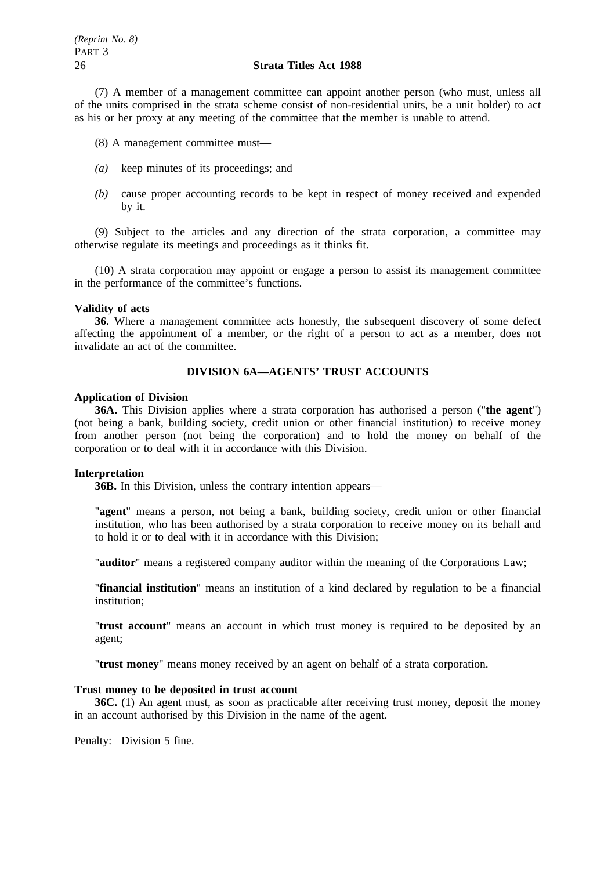(7) A member of a management committee can appoint another person (who must, unless all of the units comprised in the strata scheme consist of non-residential units, be a unit holder) to act as his or her proxy at any meeting of the committee that the member is unable to attend.

(8) A management committee must—

- *(a)* keep minutes of its proceedings; and
- *(b)* cause proper accounting records to be kept in respect of money received and expended by it.

(9) Subject to the articles and any direction of the strata corporation, a committee may otherwise regulate its meetings and proceedings as it thinks fit.

(10) A strata corporation may appoint or engage a person to assist its management committee in the performance of the committee's functions.

#### **Validity of acts**

**36.** Where a management committee acts honestly, the subsequent discovery of some defect affecting the appointment of a member, or the right of a person to act as a member, does not invalidate an act of the committee.

### **DIVISION 6A—AGENTS' TRUST ACCOUNTS**

### **Application of Division**

**36A.** This Division applies where a strata corporation has authorised a person ("**the agent**") (not being a bank, building society, credit union or other financial institution) to receive money from another person (not being the corporation) and to hold the money on behalf of the corporation or to deal with it in accordance with this Division.

### **Interpretation**

**36B.** In this Division, unless the contrary intention appears—

"**agent**" means a person, not being a bank, building society, credit union or other financial institution, who has been authorised by a strata corporation to receive money on its behalf and to hold it or to deal with it in accordance with this Division;

"**auditor**" means a registered company auditor within the meaning of the Corporations Law;

"**financial institution**" means an institution of a kind declared by regulation to be a financial institution;

"**trust account**" means an account in which trust money is required to be deposited by an agent;

"**trust money**" means money received by an agent on behalf of a strata corporation.

### **Trust money to be deposited in trust account**

**36C.** (1) An agent must, as soon as practicable after receiving trust money, deposit the money in an account authorised by this Division in the name of the agent.

Penalty: Division 5 fine.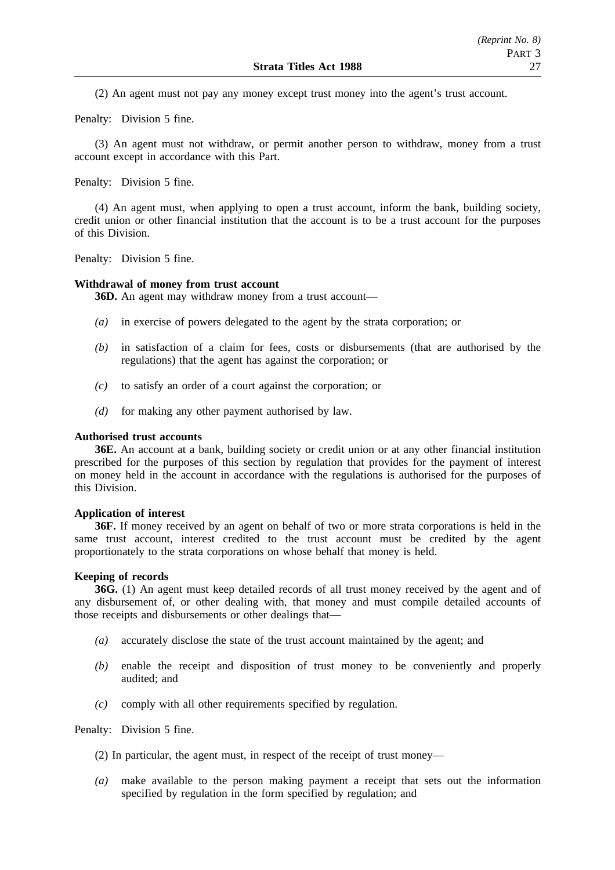(2) An agent must not pay any money except trust money into the agent's trust account.

Penalty: Division 5 fine.

(3) An agent must not withdraw, or permit another person to withdraw, money from a trust account except in accordance with this Part.

Penalty: Division 5 fine.

(4) An agent must, when applying to open a trust account, inform the bank, building society, credit union or other financial institution that the account is to be a trust account for the purposes of this Division.

Penalty: Division 5 fine.

#### **Withdrawal of money from trust account**

**36D.** An agent may withdraw money from a trust account—

- *(a)* in exercise of powers delegated to the agent by the strata corporation; or
- *(b)* in satisfaction of a claim for fees, costs or disbursements (that are authorised by the regulations) that the agent has against the corporation; or
- *(c)* to satisfy an order of a court against the corporation; or
- *(d)* for making any other payment authorised by law.

#### **Authorised trust accounts**

**36E.** An account at a bank, building society or credit union or at any other financial institution prescribed for the purposes of this section by regulation that provides for the payment of interest on money held in the account in accordance with the regulations is authorised for the purposes of this Division.

#### **Application of interest**

**36F.** If money received by an agent on behalf of two or more strata corporations is held in the same trust account, interest credited to the trust account must be credited by the agent proportionately to the strata corporations on whose behalf that money is held.

#### **Keeping of records**

**36G.** (1) An agent must keep detailed records of all trust money received by the agent and of any disbursement of, or other dealing with, that money and must compile detailed accounts of those receipts and disbursements or other dealings that—

- *(a)* accurately disclose the state of the trust account maintained by the agent; and
- *(b)* enable the receipt and disposition of trust money to be conveniently and properly audited; and
- *(c)* comply with all other requirements specified by regulation.

Penalty: Division 5 fine.

- (2) In particular, the agent must, in respect of the receipt of trust money—
- *(a)* make available to the person making payment a receipt that sets out the information specified by regulation in the form specified by regulation; and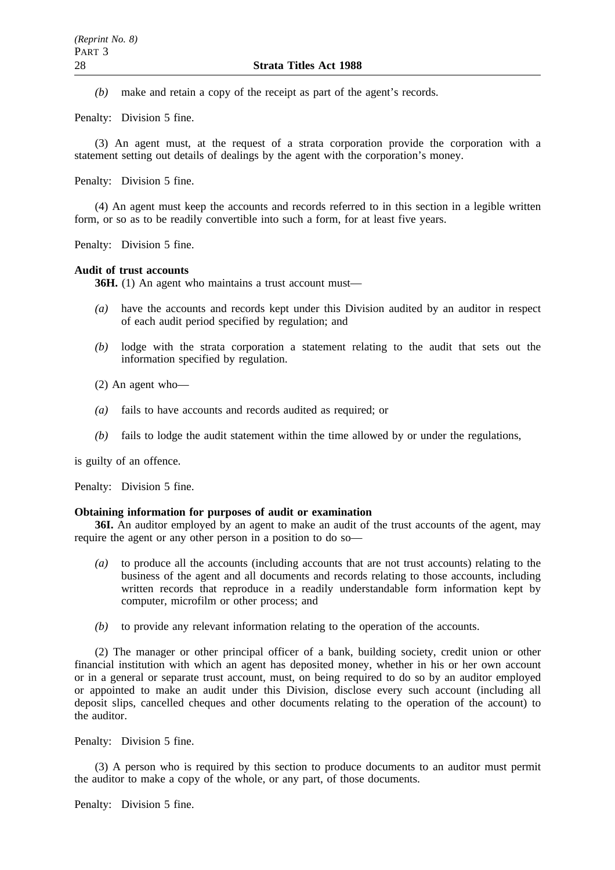*(b)* make and retain a copy of the receipt as part of the agent's records.

Penalty: Division 5 fine.

(3) An agent must, at the request of a strata corporation provide the corporation with a statement setting out details of dealings by the agent with the corporation's money.

Penalty: Division 5 fine.

(4) An agent must keep the accounts and records referred to in this section in a legible written form, or so as to be readily convertible into such a form, for at least five years.

Penalty: Division 5 fine.

#### **Audit of trust accounts**

**36H.** (1) An agent who maintains a trust account must—

- *(a)* have the accounts and records kept under this Division audited by an auditor in respect of each audit period specified by regulation; and
- *(b)* lodge with the strata corporation a statement relating to the audit that sets out the information specified by regulation.
- (2) An agent who—
- *(a)* fails to have accounts and records audited as required; or
- *(b)* fails to lodge the audit statement within the time allowed by or under the regulations,

is guilty of an offence.

Penalty: Division 5 fine.

#### **Obtaining information for purposes of audit or examination**

**36I.** An auditor employed by an agent to make an audit of the trust accounts of the agent, may require the agent or any other person in a position to do so—

- *(a)* to produce all the accounts (including accounts that are not trust accounts) relating to the business of the agent and all documents and records relating to those accounts, including written records that reproduce in a readily understandable form information kept by computer, microfilm or other process; and
- *(b)* to provide any relevant information relating to the operation of the accounts.

(2) The manager or other principal officer of a bank, building society, credit union or other financial institution with which an agent has deposited money, whether in his or her own account or in a general or separate trust account, must, on being required to do so by an auditor employed or appointed to make an audit under this Division, disclose every such account (including all deposit slips, cancelled cheques and other documents relating to the operation of the account) to the auditor.

Penalty: Division 5 fine.

(3) A person who is required by this section to produce documents to an auditor must permit the auditor to make a copy of the whole, or any part, of those documents.

Penalty: Division 5 fine.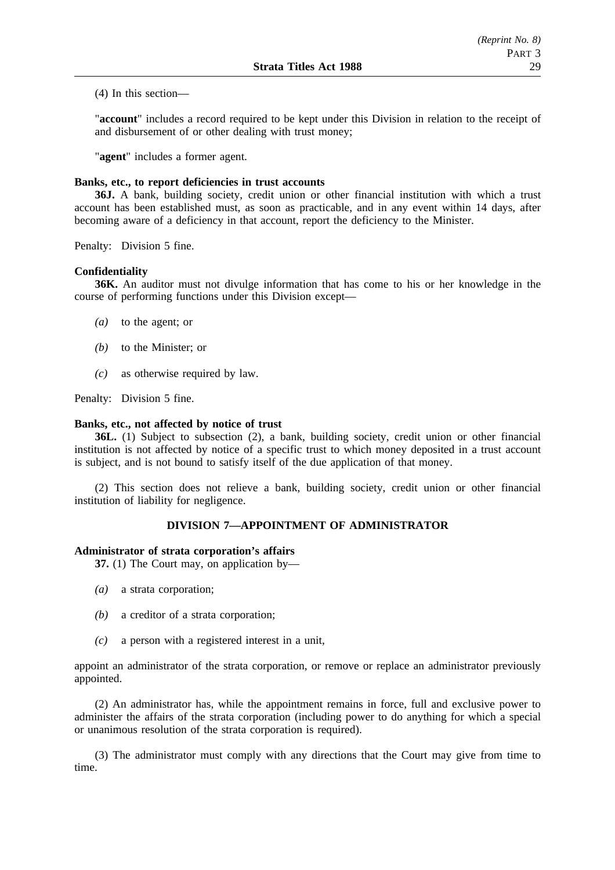(4) In this section—

"**account**" includes a record required to be kept under this Division in relation to the receipt of and disbursement of or other dealing with trust money;

"**agent**" includes a former agent.

### **Banks, etc., to report deficiencies in trust accounts**

**36J.** A bank, building society, credit union or other financial institution with which a trust account has been established must, as soon as practicable, and in any event within 14 days, after becoming aware of a deficiency in that account, report the deficiency to the Minister.

Penalty: Division 5 fine.

#### **Confidentiality**

**36K.** An auditor must not divulge information that has come to his or her knowledge in the course of performing functions under this Division except—

- *(a)* to the agent; or
- *(b)* to the Minister; or
- *(c)* as otherwise required by law.

Penalty: Division 5 fine.

### **Banks, etc., not affected by notice of trust**

**36L.** (1) Subject to subsection (2), a bank, building society, credit union or other financial institution is not affected by notice of a specific trust to which money deposited in a trust account is subject, and is not bound to satisfy itself of the due application of that money.

(2) This section does not relieve a bank, building society, credit union or other financial institution of liability for negligence.

### **DIVISION 7—APPOINTMENT OF ADMINISTRATOR**

#### **Administrator of strata corporation's affairs**

**37.** (1) The Court may, on application by—

- *(a)* a strata corporation;
- *(b)* a creditor of a strata corporation;
- *(c)* a person with a registered interest in a unit,

appoint an administrator of the strata corporation, or remove or replace an administrator previously appointed.

(2) An administrator has, while the appointment remains in force, full and exclusive power to administer the affairs of the strata corporation (including power to do anything for which a special or unanimous resolution of the strata corporation is required).

(3) The administrator must comply with any directions that the Court may give from time to time.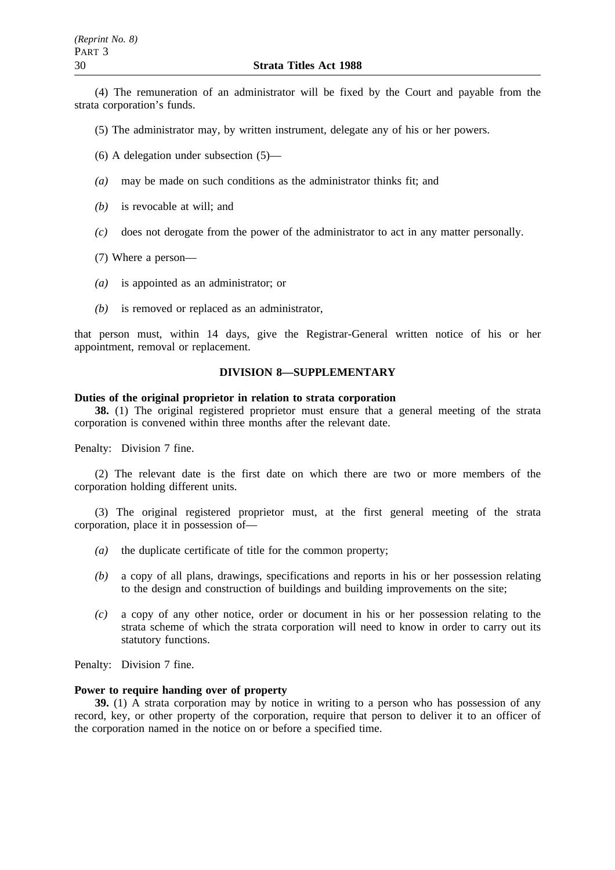(4) The remuneration of an administrator will be fixed by the Court and payable from the strata corporation's funds.

(5) The administrator may, by written instrument, delegate any of his or her powers.

(6) A delegation under subsection (5)—

- *(a)* may be made on such conditions as the administrator thinks fit; and
- *(b)* is revocable at will; and
- *(c)* does not derogate from the power of the administrator to act in any matter personally.
- (7) Where a person—
- *(a)* is appointed as an administrator; or
- *(b)* is removed or replaced as an administrator,

that person must, within 14 days, give the Registrar-General written notice of his or her appointment, removal or replacement.

### **DIVISION 8—SUPPLEMENTARY**

#### **Duties of the original proprietor in relation to strata corporation**

**38.** (1) The original registered proprietor must ensure that a general meeting of the strata corporation is convened within three months after the relevant date.

Penalty: Division 7 fine.

(2) The relevant date is the first date on which there are two or more members of the corporation holding different units.

(3) The original registered proprietor must, at the first general meeting of the strata corporation, place it in possession of—

- *(a)* the duplicate certificate of title for the common property;
- *(b)* a copy of all plans, drawings, specifications and reports in his or her possession relating to the design and construction of buildings and building improvements on the site;
- *(c)* a copy of any other notice, order or document in his or her possession relating to the strata scheme of which the strata corporation will need to know in order to carry out its statutory functions.

Penalty: Division 7 fine.

### **Power to require handing over of property**

**39.** (1) A strata corporation may by notice in writing to a person who has possession of any record, key, or other property of the corporation, require that person to deliver it to an officer of the corporation named in the notice on or before a specified time.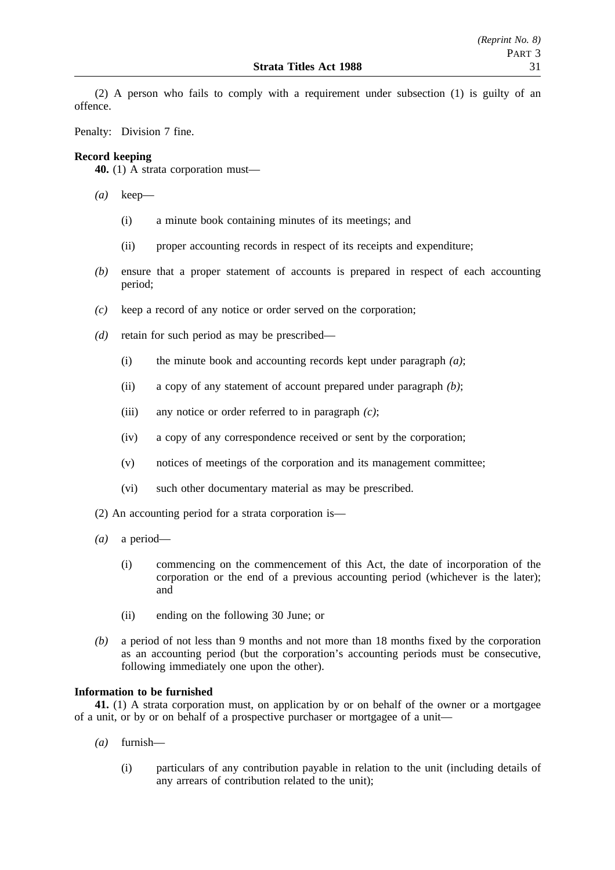(2) A person who fails to comply with a requirement under subsection (1) is guilty of an offence.

Penalty: Division 7 fine.

### **Record keeping**

**40.** (1) A strata corporation must—

- *(a)* keep—
	- (i) a minute book containing minutes of its meetings; and
	- (ii) proper accounting records in respect of its receipts and expenditure;
- *(b)* ensure that a proper statement of accounts is prepared in respect of each accounting period;
- *(c)* keep a record of any notice or order served on the corporation;
- *(d)* retain for such period as may be prescribed—
	- (i) the minute book and accounting records kept under paragraph *(a)*;
	- (ii) a copy of any statement of account prepared under paragraph *(b)*;
	- (iii) any notice or order referred to in paragraph *(c)*;
	- (iv) a copy of any correspondence received or sent by the corporation;
	- (v) notices of meetings of the corporation and its management committee;
	- (vi) such other documentary material as may be prescribed.
- (2) An accounting period for a strata corporation is—
- *(a)* a period—
	- (i) commencing on the commencement of this Act, the date of incorporation of the corporation or the end of a previous accounting period (whichever is the later); and
	- (ii) ending on the following 30 June; or
- *(b)* a period of not less than 9 months and not more than 18 months fixed by the corporation as an accounting period (but the corporation's accounting periods must be consecutive, following immediately one upon the other).

### **Information to be furnished**

**41.** (1) A strata corporation must, on application by or on behalf of the owner or a mortgagee of a unit, or by or on behalf of a prospective purchaser or mortgagee of a unit—

- *(a)* furnish—
	- (i) particulars of any contribution payable in relation to the unit (including details of any arrears of contribution related to the unit);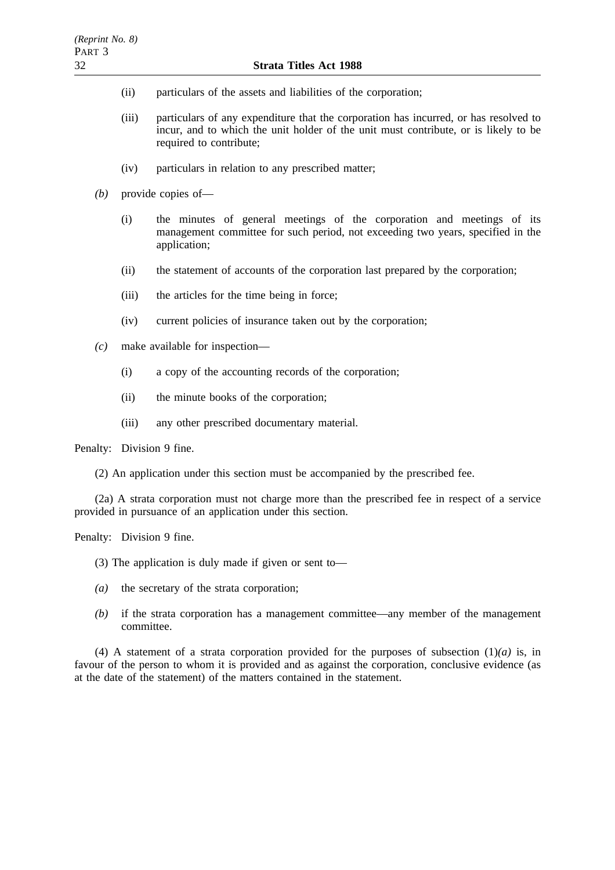- (ii) particulars of the assets and liabilities of the corporation;
- (iii) particulars of any expenditure that the corporation has incurred, or has resolved to incur, and to which the unit holder of the unit must contribute, or is likely to be required to contribute;
- (iv) particulars in relation to any prescribed matter;
- *(b)* provide copies of—
	- (i) the minutes of general meetings of the corporation and meetings of its management committee for such period, not exceeding two years, specified in the application;
	- (ii) the statement of accounts of the corporation last prepared by the corporation;
	- (iii) the articles for the time being in force;
	- (iv) current policies of insurance taken out by the corporation;
- *(c)* make available for inspection—
	- (i) a copy of the accounting records of the corporation;
	- (ii) the minute books of the corporation;
	- (iii) any other prescribed documentary material.

Penalty: Division 9 fine.

(2) An application under this section must be accompanied by the prescribed fee.

(2a) A strata corporation must not charge more than the prescribed fee in respect of a service provided in pursuance of an application under this section.

Penalty: Division 9 fine.

- (3) The application is duly made if given or sent to—
- *(a)* the secretary of the strata corporation;
- *(b)* if the strata corporation has a management committee—any member of the management committee.

(4) A statement of a strata corporation provided for the purposes of subsection (1)*(a)* is, in favour of the person to whom it is provided and as against the corporation, conclusive evidence (as at the date of the statement) of the matters contained in the statement.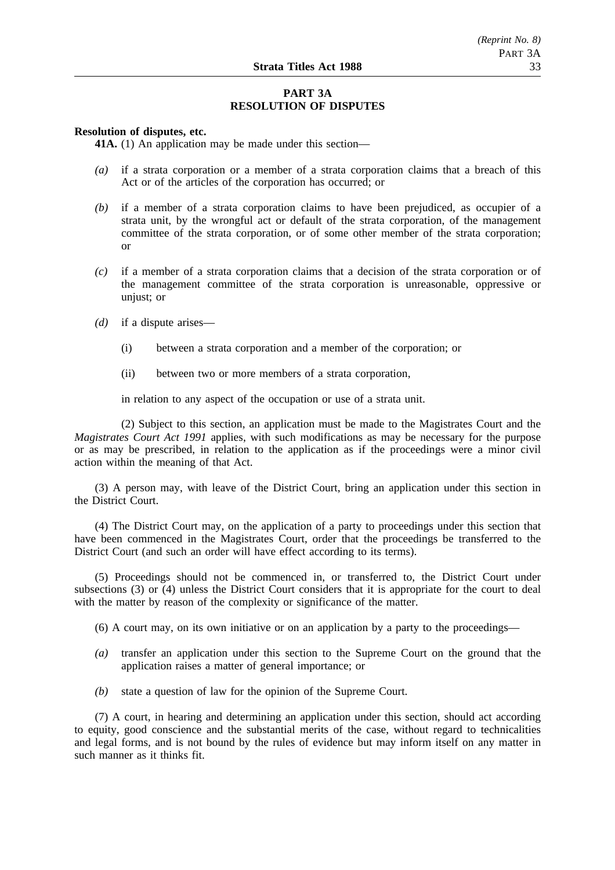### **PART 3A RESOLUTION OF DISPUTES**

#### **Resolution of disputes, etc.**

**41A.** (1) An application may be made under this section—

- *(a)* if a strata corporation or a member of a strata corporation claims that a breach of this Act or of the articles of the corporation has occurred; or
- *(b)* if a member of a strata corporation claims to have been prejudiced, as occupier of a strata unit, by the wrongful act or default of the strata corporation, of the management committee of the strata corporation, or of some other member of the strata corporation; or
- *(c)* if a member of a strata corporation claims that a decision of the strata corporation or of the management committee of the strata corporation is unreasonable, oppressive or unjust; or
- *(d)* if a dispute arises—
	- (i) between a strata corporation and a member of the corporation; or
	- (ii) between two or more members of a strata corporation,

in relation to any aspect of the occupation or use of a strata unit.

(2) Subject to this section, an application must be made to the Magistrates Court and the *Magistrates Court Act 1991* applies, with such modifications as may be necessary for the purpose or as may be prescribed, in relation to the application as if the proceedings were a minor civil action within the meaning of that Act.

(3) A person may, with leave of the District Court, bring an application under this section in the District Court.

(4) The District Court may, on the application of a party to proceedings under this section that have been commenced in the Magistrates Court, order that the proceedings be transferred to the District Court (and such an order will have effect according to its terms).

(5) Proceedings should not be commenced in, or transferred to, the District Court under subsections (3) or (4) unless the District Court considers that it is appropriate for the court to deal with the matter by reason of the complexity or significance of the matter.

(6) A court may, on its own initiative or on an application by a party to the proceedings—

- *(a)* transfer an application under this section to the Supreme Court on the ground that the application raises a matter of general importance; or
- *(b)* state a question of law for the opinion of the Supreme Court.

(7) A court, in hearing and determining an application under this section, should act according to equity, good conscience and the substantial merits of the case, without regard to technicalities and legal forms, and is not bound by the rules of evidence but may inform itself on any matter in such manner as it thinks fit.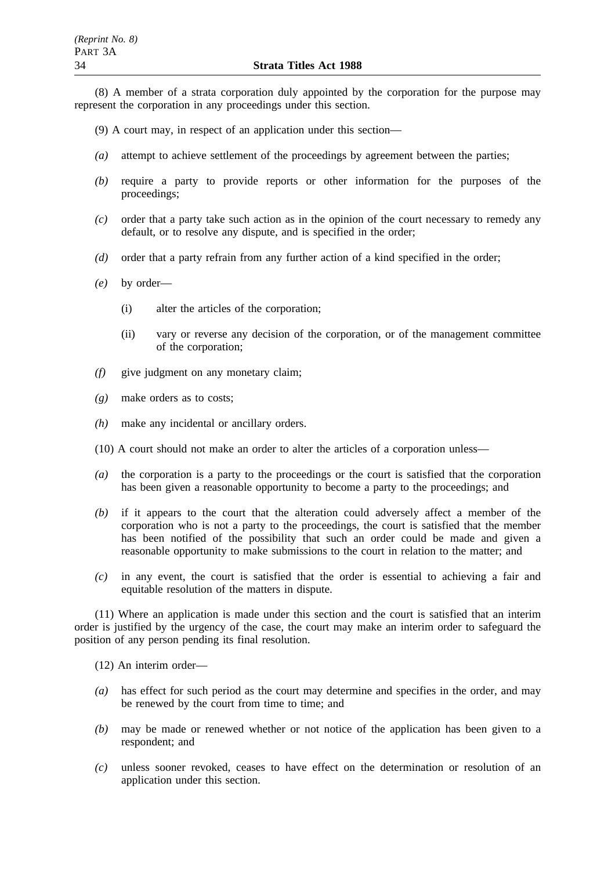(8) A member of a strata corporation duly appointed by the corporation for the purpose may represent the corporation in any proceedings under this section.

- (9) A court may, in respect of an application under this section—
- *(a)* attempt to achieve settlement of the proceedings by agreement between the parties;
- *(b)* require a party to provide reports or other information for the purposes of the proceedings;
- *(c)* order that a party take such action as in the opinion of the court necessary to remedy any default, or to resolve any dispute, and is specified in the order;
- *(d)* order that a party refrain from any further action of a kind specified in the order;
- *(e)* by order—
	- (i) alter the articles of the corporation;
	- (ii) vary or reverse any decision of the corporation, or of the management committee of the corporation;
- *(f)* give judgment on any monetary claim;
- *(g)* make orders as to costs;
- *(h)* make any incidental or ancillary orders.
- (10) A court should not make an order to alter the articles of a corporation unless—
- *(a)* the corporation is a party to the proceedings or the court is satisfied that the corporation has been given a reasonable opportunity to become a party to the proceedings; and
- *(b)* if it appears to the court that the alteration could adversely affect a member of the corporation who is not a party to the proceedings, the court is satisfied that the member has been notified of the possibility that such an order could be made and given a reasonable opportunity to make submissions to the court in relation to the matter; and
- *(c)* in any event, the court is satisfied that the order is essential to achieving a fair and equitable resolution of the matters in dispute.

(11) Where an application is made under this section and the court is satisfied that an interim order is justified by the urgency of the case, the court may make an interim order to safeguard the position of any person pending its final resolution.

(12) An interim order—

- *(a)* has effect for such period as the court may determine and specifies in the order, and may be renewed by the court from time to time; and
- *(b)* may be made or renewed whether or not notice of the application has been given to a respondent; and
- *(c)* unless sooner revoked, ceases to have effect on the determination or resolution of an application under this section.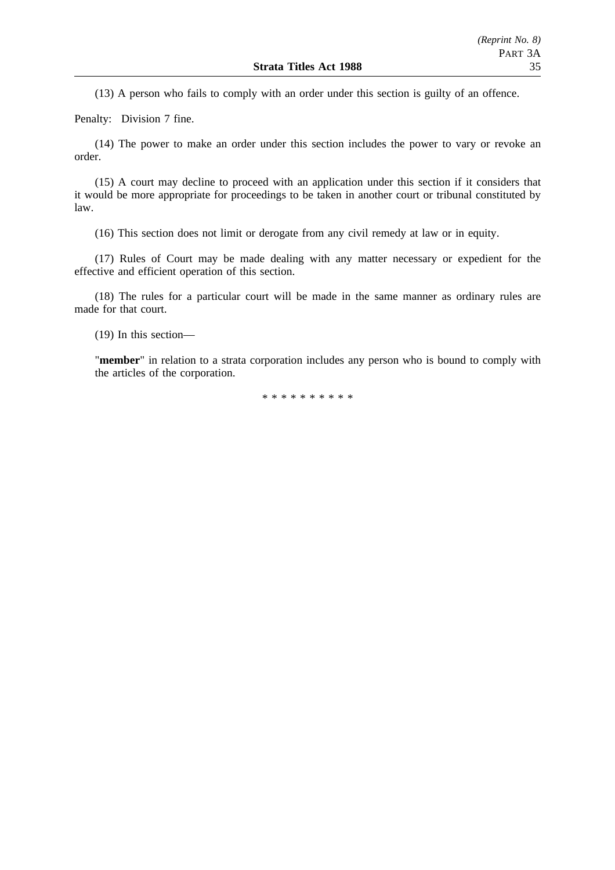(13) A person who fails to comply with an order under this section is guilty of an offence.

Penalty: Division 7 fine.

(14) The power to make an order under this section includes the power to vary or revoke an order.

(15) A court may decline to proceed with an application under this section if it considers that it would be more appropriate for proceedings to be taken in another court or tribunal constituted by law.

(16) This section does not limit or derogate from any civil remedy at law or in equity.

(17) Rules of Court may be made dealing with any matter necessary or expedient for the effective and efficient operation of this section.

(18) The rules for a particular court will be made in the same manner as ordinary rules are made for that court.

(19) In this section—

"**member**" in relation to a strata corporation includes any person who is bound to comply with the articles of the corporation.

\*\*\*\*\*\*\*\*\*\*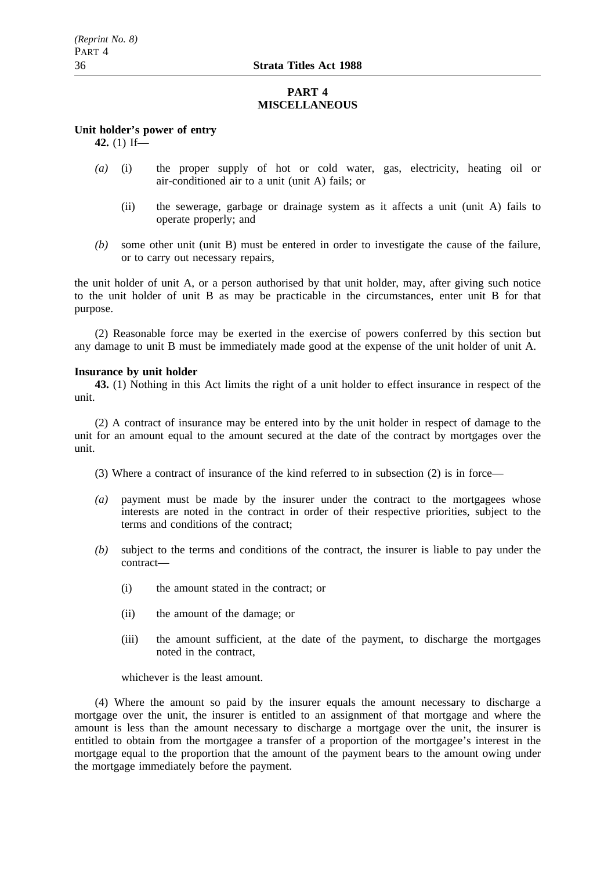### **PART 4 MISCELLANEOUS**

### **Unit holder's power of entry**

**42.** (1) If—

- *(a)* (i) the proper supply of hot or cold water, gas, electricity, heating oil or air-conditioned air to a unit (unit A) fails; or
	- (ii) the sewerage, garbage or drainage system as it affects a unit (unit A) fails to operate properly; and
- *(b)* some other unit (unit B) must be entered in order to investigate the cause of the failure, or to carry out necessary repairs,

the unit holder of unit A, or a person authorised by that unit holder, may, after giving such notice to the unit holder of unit B as may be practicable in the circumstances, enter unit B for that purpose.

(2) Reasonable force may be exerted in the exercise of powers conferred by this section but any damage to unit B must be immediately made good at the expense of the unit holder of unit A.

#### **Insurance by unit holder**

**43.** (1) Nothing in this Act limits the right of a unit holder to effect insurance in respect of the unit.

(2) A contract of insurance may be entered into by the unit holder in respect of damage to the unit for an amount equal to the amount secured at the date of the contract by mortgages over the unit.

(3) Where a contract of insurance of the kind referred to in subsection (2) is in force—

- *(a)* payment must be made by the insurer under the contract to the mortgagees whose interests are noted in the contract in order of their respective priorities, subject to the terms and conditions of the contract;
- *(b)* subject to the terms and conditions of the contract, the insurer is liable to pay under the contract—
	- (i) the amount stated in the contract; or
	- (ii) the amount of the damage; or
	- (iii) the amount sufficient, at the date of the payment, to discharge the mortgages noted in the contract,

whichever is the least amount.

(4) Where the amount so paid by the insurer equals the amount necessary to discharge a mortgage over the unit, the insurer is entitled to an assignment of that mortgage and where the amount is less than the amount necessary to discharge a mortgage over the unit, the insurer is entitled to obtain from the mortgagee a transfer of a proportion of the mortgagee's interest in the mortgage equal to the proportion that the amount of the payment bears to the amount owing under the mortgage immediately before the payment.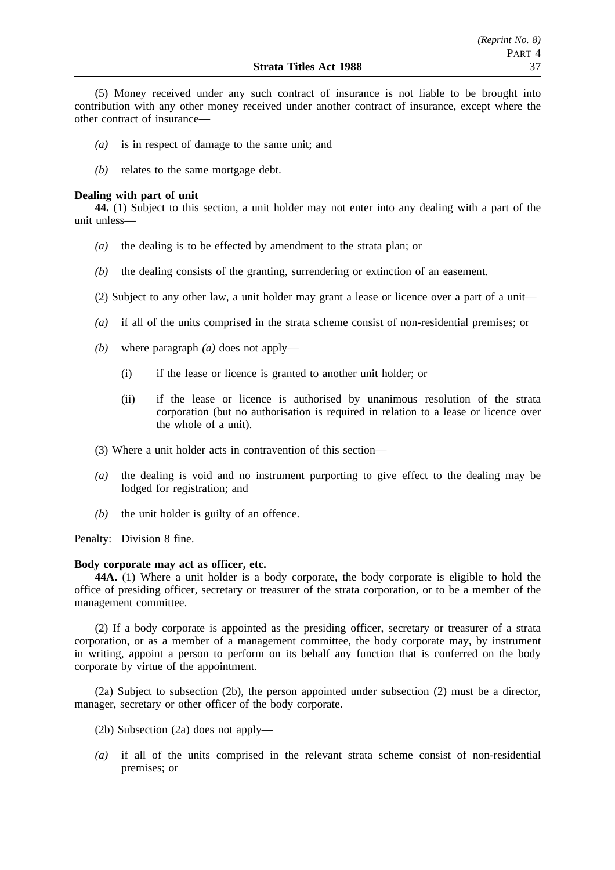(5) Money received under any such contract of insurance is not liable to be brought into contribution with any other money received under another contract of insurance, except where the other contract of insurance—

- *(a)* is in respect of damage to the same unit; and
- *(b)* relates to the same mortgage debt.

#### **Dealing with part of unit**

**44.** (1) Subject to this section, a unit holder may not enter into any dealing with a part of the unit unless—

- *(a)* the dealing is to be effected by amendment to the strata plan; or
- *(b)* the dealing consists of the granting, surrendering or extinction of an easement.
- (2) Subject to any other law, a unit holder may grant a lease or licence over a part of a unit—
- *(a)* if all of the units comprised in the strata scheme consist of non-residential premises; or
- *(b)* where paragraph *(a)* does not apply—
	- (i) if the lease or licence is granted to another unit holder; or
	- (ii) if the lease or licence is authorised by unanimous resolution of the strata corporation (but no authorisation is required in relation to a lease or licence over the whole of a unit).
- (3) Where a unit holder acts in contravention of this section—
- *(a)* the dealing is void and no instrument purporting to give effect to the dealing may be lodged for registration; and
- *(b)* the unit holder is guilty of an offence.

Penalty: Division 8 fine.

#### **Body corporate may act as officer, etc.**

**44A.** (1) Where a unit holder is a body corporate, the body corporate is eligible to hold the office of presiding officer, secretary or treasurer of the strata corporation, or to be a member of the management committee.

(2) If a body corporate is appointed as the presiding officer, secretary or treasurer of a strata corporation, or as a member of a management committee, the body corporate may, by instrument in writing, appoint a person to perform on its behalf any function that is conferred on the body corporate by virtue of the appointment.

(2a) Subject to subsection (2b), the person appointed under subsection (2) must be a director, manager, secretary or other officer of the body corporate.

- (2b) Subsection (2a) does not apply—
- *(a)* if all of the units comprised in the relevant strata scheme consist of non-residential premises; or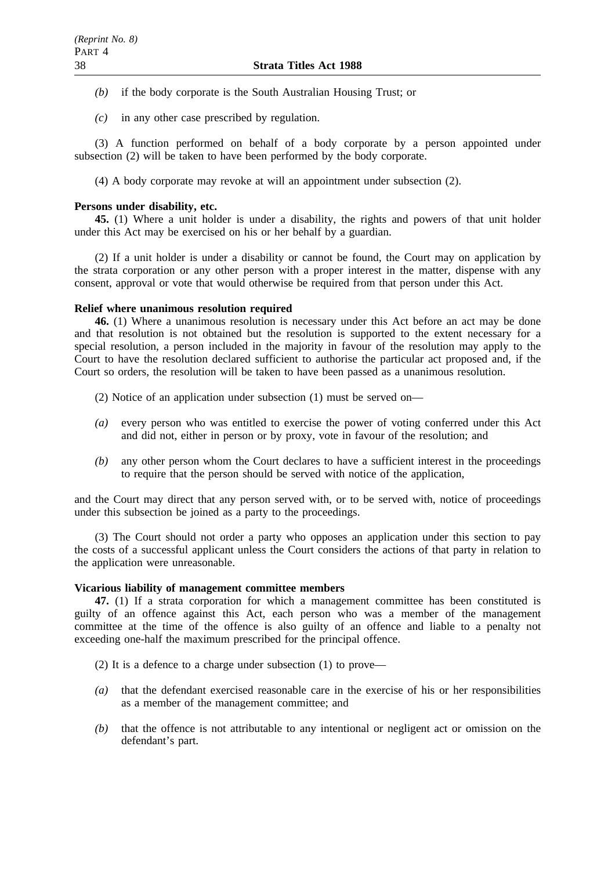- *(b)* if the body corporate is the South Australian Housing Trust; or
- *(c)* in any other case prescribed by regulation.

(3) A function performed on behalf of a body corporate by a person appointed under subsection (2) will be taken to have been performed by the body corporate.

(4) A body corporate may revoke at will an appointment under subsection (2).

#### **Persons under disability, etc.**

**45.** (1) Where a unit holder is under a disability, the rights and powers of that unit holder under this Act may be exercised on his or her behalf by a guardian.

(2) If a unit holder is under a disability or cannot be found, the Court may on application by the strata corporation or any other person with a proper interest in the matter, dispense with any consent, approval or vote that would otherwise be required from that person under this Act.

#### **Relief where unanimous resolution required**

**46.** (1) Where a unanimous resolution is necessary under this Act before an act may be done and that resolution is not obtained but the resolution is supported to the extent necessary for a special resolution, a person included in the majority in favour of the resolution may apply to the Court to have the resolution declared sufficient to authorise the particular act proposed and, if the Court so orders, the resolution will be taken to have been passed as a unanimous resolution.

(2) Notice of an application under subsection (1) must be served on—

- *(a)* every person who was entitled to exercise the power of voting conferred under this Act and did not, either in person or by proxy, vote in favour of the resolution; and
- *(b)* any other person whom the Court declares to have a sufficient interest in the proceedings to require that the person should be served with notice of the application,

and the Court may direct that any person served with, or to be served with, notice of proceedings under this subsection be joined as a party to the proceedings.

(3) The Court should not order a party who opposes an application under this section to pay the costs of a successful applicant unless the Court considers the actions of that party in relation to the application were unreasonable.

#### **Vicarious liability of management committee members**

**47.** (1) If a strata corporation for which a management committee has been constituted is guilty of an offence against this Act, each person who was a member of the management committee at the time of the offence is also guilty of an offence and liable to a penalty not exceeding one-half the maximum prescribed for the principal offence.

- (2) It is a defence to a charge under subsection (1) to prove—
- *(a)* that the defendant exercised reasonable care in the exercise of his or her responsibilities as a member of the management committee; and
- *(b)* that the offence is not attributable to any intentional or negligent act or omission on the defendant's part.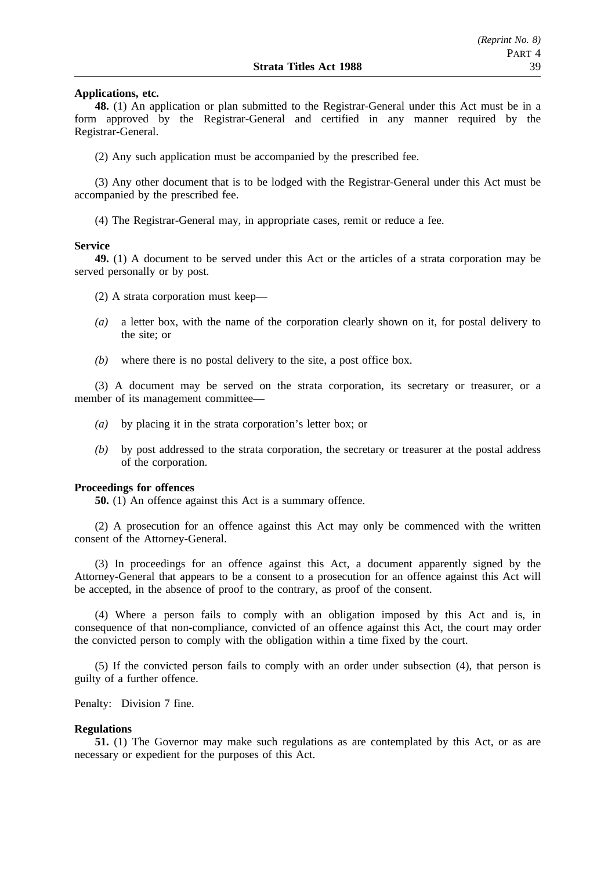#### **Applications, etc.**

**48.** (1) An application or plan submitted to the Registrar-General under this Act must be in a form approved by the Registrar-General and certified in any manner required by the Registrar-General.

(2) Any such application must be accompanied by the prescribed fee.

(3) Any other document that is to be lodged with the Registrar-General under this Act must be accompanied by the prescribed fee.

(4) The Registrar-General may, in appropriate cases, remit or reduce a fee.

#### **Service**

**49.** (1) A document to be served under this Act or the articles of a strata corporation may be served personally or by post.

- (2) A strata corporation must keep—
- *(a)* a letter box, with the name of the corporation clearly shown on it, for postal delivery to the site; or
- *(b)* where there is no postal delivery to the site, a post office box.

(3) A document may be served on the strata corporation, its secretary or treasurer, or a member of its management committee—

- *(a)* by placing it in the strata corporation's letter box; or
- *(b)* by post addressed to the strata corporation, the secretary or treasurer at the postal address of the corporation.

#### **Proceedings for offences**

**50.** (1) An offence against this Act is a summary offence.

(2) A prosecution for an offence against this Act may only be commenced with the written consent of the Attorney-General.

(3) In proceedings for an offence against this Act, a document apparently signed by the Attorney-General that appears to be a consent to a prosecution for an offence against this Act will be accepted, in the absence of proof to the contrary, as proof of the consent.

(4) Where a person fails to comply with an obligation imposed by this Act and is, in consequence of that non-compliance, convicted of an offence against this Act, the court may order the convicted person to comply with the obligation within a time fixed by the court.

(5) If the convicted person fails to comply with an order under subsection (4), that person is guilty of a further offence.

Penalty: Division 7 fine.

### **Regulations**

**51.** (1) The Governor may make such regulations as are contemplated by this Act, or as are necessary or expedient for the purposes of this Act.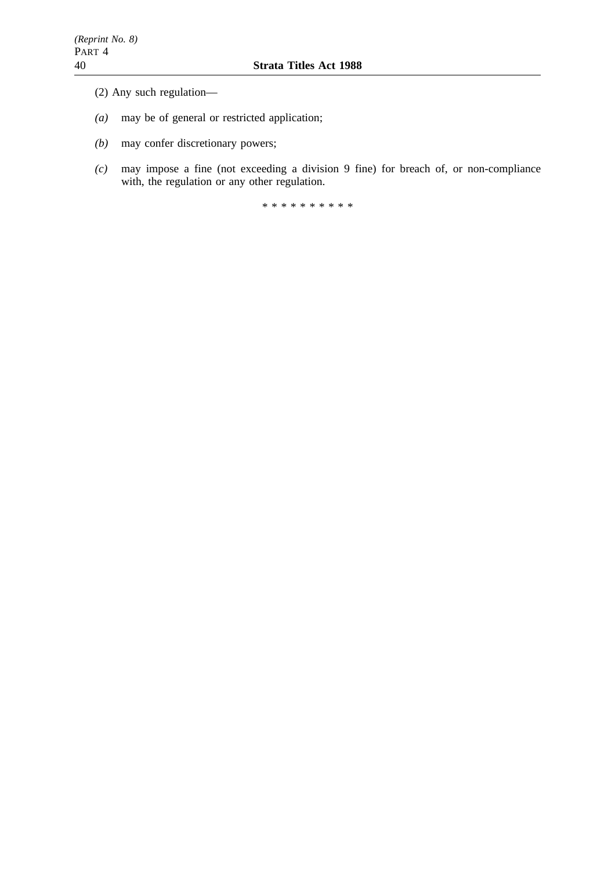- (2) Any such regulation—
- *(a)* may be of general or restricted application;
- *(b)* may confer discretionary powers;
- *(c)* may impose a fine (not exceeding a division 9 fine) for breach of, or non-compliance with, the regulation or any other regulation.

\*\*\*\*\*\*\*\*\*\*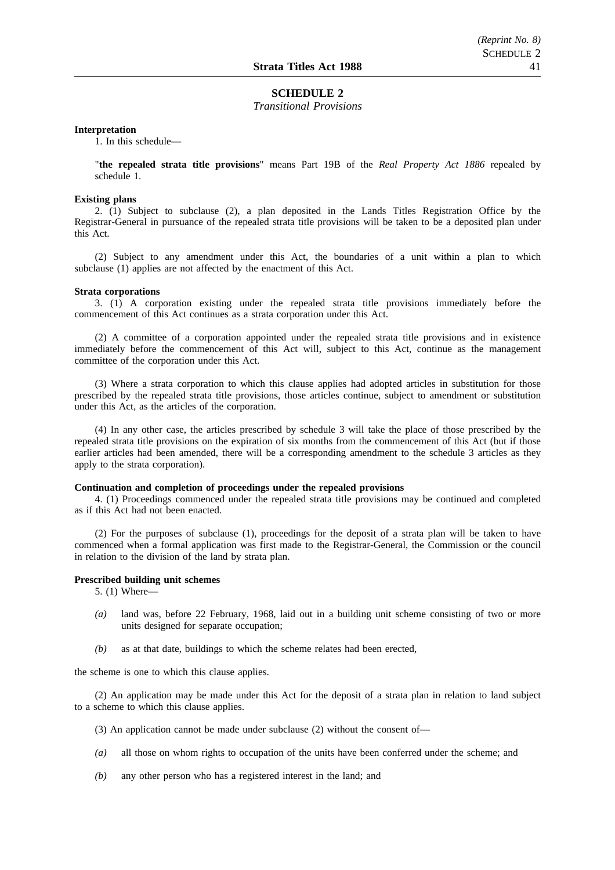#### **SCHEDULE 2**

*Transitional Provisions*

#### **Interpretation**

1. In this schedule—

"**the repealed strata title provisions**" means Part 19B of the *Real Property Act 1886* repealed by schedule 1.

#### **Existing plans**

2. (1) Subject to subclause (2), a plan deposited in the Lands Titles Registration Office by the Registrar-General in pursuance of the repealed strata title provisions will be taken to be a deposited plan under this Act.

(2) Subject to any amendment under this Act, the boundaries of a unit within a plan to which subclause (1) applies are not affected by the enactment of this Act.

#### **Strata corporations**

3. (1) A corporation existing under the repealed strata title provisions immediately before the commencement of this Act continues as a strata corporation under this Act.

(2) A committee of a corporation appointed under the repealed strata title provisions and in existence immediately before the commencement of this Act will, subject to this Act, continue as the management committee of the corporation under this Act.

(3) Where a strata corporation to which this clause applies had adopted articles in substitution for those prescribed by the repealed strata title provisions, those articles continue, subject to amendment or substitution under this Act, as the articles of the corporation.

(4) In any other case, the articles prescribed by schedule 3 will take the place of those prescribed by the repealed strata title provisions on the expiration of six months from the commencement of this Act (but if those earlier articles had been amended, there will be a corresponding amendment to the schedule 3 articles as they apply to the strata corporation).

#### **Continuation and completion of proceedings under the repealed provisions**

4. (1) Proceedings commenced under the repealed strata title provisions may be continued and completed as if this Act had not been enacted.

(2) For the purposes of subclause (1), proceedings for the deposit of a strata plan will be taken to have commenced when a formal application was first made to the Registrar-General, the Commission or the council in relation to the division of the land by strata plan.

#### **Prescribed building unit schemes**

5. (1) Where—

- *(a)* land was, before 22 February, 1968, laid out in a building unit scheme consisting of two or more units designed for separate occupation;
- *(b)* as at that date, buildings to which the scheme relates had been erected,

the scheme is one to which this clause applies.

(2) An application may be made under this Act for the deposit of a strata plan in relation to land subject to a scheme to which this clause applies.

- (3) An application cannot be made under subclause (2) without the consent of—
- *(a)* all those on whom rights to occupation of the units have been conferred under the scheme; and
- *(b)* any other person who has a registered interest in the land; and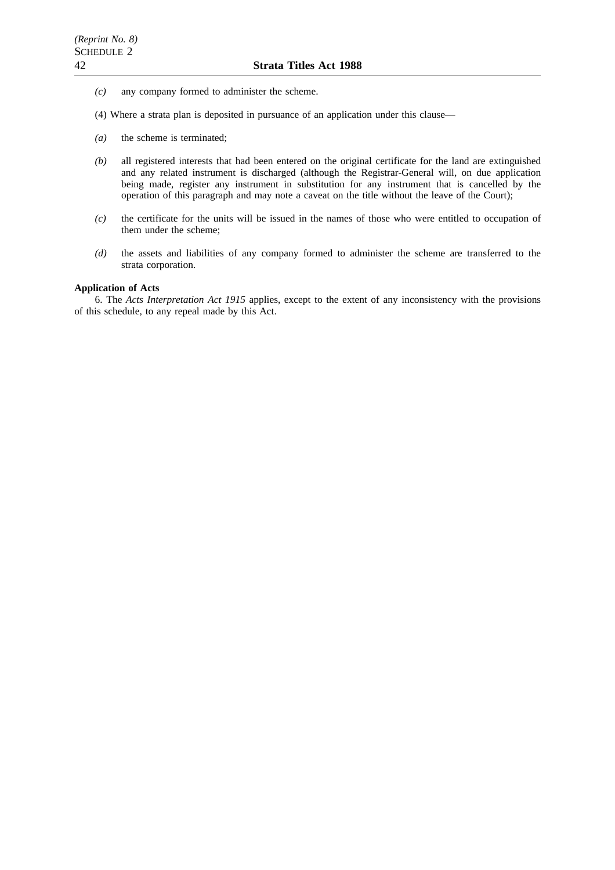- *(c)* any company formed to administer the scheme.
- (4) Where a strata plan is deposited in pursuance of an application under this clause—
- *(a)* the scheme is terminated;
- *(b)* all registered interests that had been entered on the original certificate for the land are extinguished and any related instrument is discharged (although the Registrar-General will, on due application being made, register any instrument in substitution for any instrument that is cancelled by the operation of this paragraph and may note a caveat on the title without the leave of the Court);
- *(c)* the certificate for the units will be issued in the names of those who were entitled to occupation of them under the scheme;
- *(d)* the assets and liabilities of any company formed to administer the scheme are transferred to the strata corporation.

#### **Application of Acts**

6. The *Acts Interpretation Act 1915* applies, except to the extent of any inconsistency with the provisions of this schedule, to any repeal made by this Act.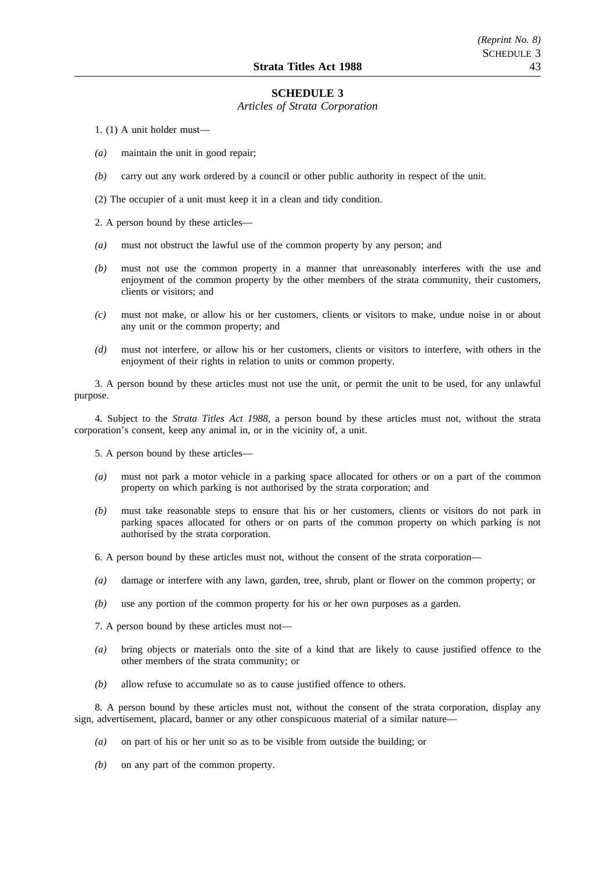#### **SCHEDULE 3**

#### *Articles of Strata Corporation*

1. (1) A unit holder must—

- *(a)* maintain the unit in good repair;
- *(b)* carry out any work ordered by a council or other public authority in respect of the unit.

(2) The occupier of a unit must keep it in a clean and tidy condition.

2. A person bound by these articles—

- *(a)* must not obstruct the lawful use of the common property by any person; and
- *(b)* must not use the common property in a manner that unreasonably interferes with the use and enjoyment of the common property by the other members of the strata community, their customers, clients or visitors; and
- *(c)* must not make, or allow his or her customers, clients or visitors to make, undue noise in or about any unit or the common property; and
- *(d)* must not interfere, or allow his or her customers, clients or visitors to interfere, with others in the enjoyment of their rights in relation to units or common property.

3. A person bound by these articles must not use the unit, or permit the unit to be used, for any unlawful purpose.

4. Subject to the *Strata Titles Act 1988*, a person bound by these articles must not, without the strata corporation's consent, keep any animal in, or in the vicinity of, a unit.

5. A person bound by these articles—

- *(a)* must not park a motor vehicle in a parking space allocated for others or on a part of the common property on which parking is not authorised by the strata corporation; and
- *(b)* must take reasonable steps to ensure that his or her customers, clients or visitors do not park in parking spaces allocated for others or on parts of the common property on which parking is not authorised by the strata corporation.
- 6. A person bound by these articles must not, without the consent of the strata corporation—
- *(a)* damage or interfere with any lawn, garden, tree, shrub, plant or flower on the common property; or
- *(b)* use any portion of the common property for his or her own purposes as a garden.
- 7. A person bound by these articles must not—
- *(a)* bring objects or materials onto the site of a kind that are likely to cause justified offence to the other members of the strata community; or
- *(b)* allow refuse to accumulate so as to cause justified offence to others.

8. A person bound by these articles must not, without the consent of the strata corporation, display any sign, advertisement, placard, banner or any other conspicuous material of a similar nature—

- *(a)* on part of his or her unit so as to be visible from outside the building; or
- *(b)* on any part of the common property.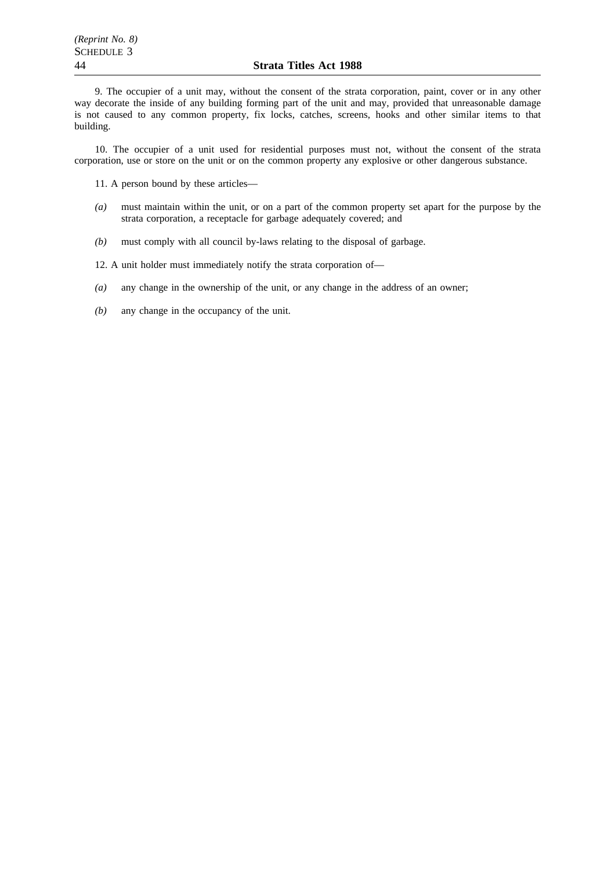9. The occupier of a unit may, without the consent of the strata corporation, paint, cover or in any other way decorate the inside of any building forming part of the unit and may, provided that unreasonable damage is not caused to any common property, fix locks, catches, screens, hooks and other similar items to that building.

10. The occupier of a unit used for residential purposes must not, without the consent of the strata corporation, use or store on the unit or on the common property any explosive or other dangerous substance.

11. A person bound by these articles—

- *(a)* must maintain within the unit, or on a part of the common property set apart for the purpose by the strata corporation, a receptacle for garbage adequately covered; and
- *(b)* must comply with all council by-laws relating to the disposal of garbage.

12. A unit holder must immediately notify the strata corporation of—

- *(a)* any change in the ownership of the unit, or any change in the address of an owner;
- *(b)* any change in the occupancy of the unit.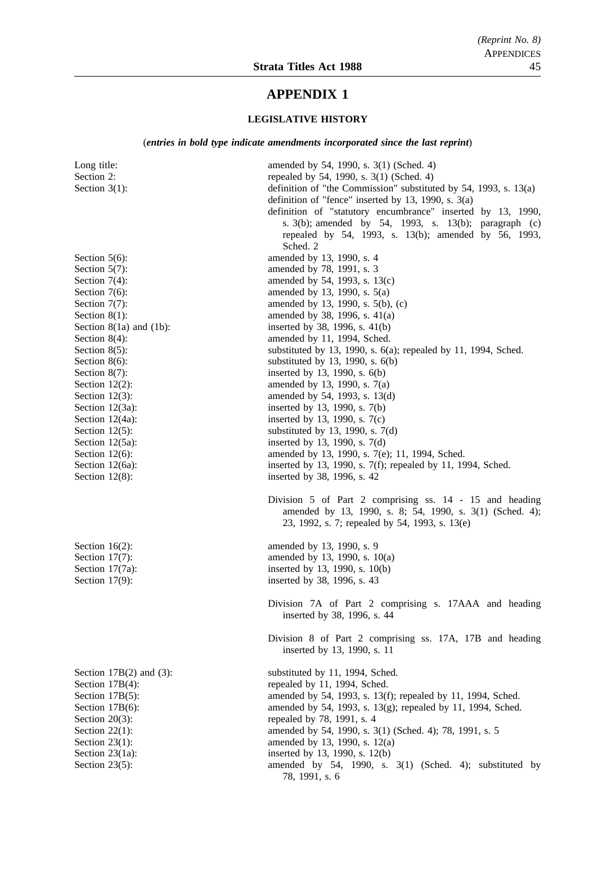# **APPENDIX 1**

### **LEGISLATIVE HISTORY**

(*entries in bold type indicate amendments incorporated since the last reprint*)

| Long title:<br>Section 2:<br>Section $3(1)$ :                                                                                                                                                                                                          | amended by 54, 1990, s. 3(1) (Sched. 4)<br>repealed by 54, 1990, s. 3(1) (Sched. 4)<br>definition of "the Commission" substituted by 54, 1993, s. $13(a)$<br>definition of "fence" inserted by 13, 1990, s. 3(a)<br>definition of "statutory encumbrance" inserted by 13, 1990,<br>s. $3(b)$ ; amended by 54, 1993, s. 13(b); paragraph (c)<br>repealed by 54, 1993, s. 13(b); amended by 56, 1993,<br>Sched. 2                              |
|--------------------------------------------------------------------------------------------------------------------------------------------------------------------------------------------------------------------------------------------------------|----------------------------------------------------------------------------------------------------------------------------------------------------------------------------------------------------------------------------------------------------------------------------------------------------------------------------------------------------------------------------------------------------------------------------------------------|
| Section $5(6)$ :<br>Section $5(7)$ :<br>Section $7(4)$ :<br>Section 7(6):<br>Section $7(7)$ :<br>Section $8(1)$ :<br>Section $8(1a)$ and $(1b)$ :<br>Section $8(4)$ :<br>Section $8(5)$ :<br>Section $8(6)$ :<br>Section $8(7)$ :<br>Section $12(2)$ : | amended by 13, 1990, s. 4<br>amended by 78, 1991, s. 3<br>amended by 54, 1993, s. 13(c)<br>amended by 13, 1990, s. 5(a)<br>amended by 13, 1990, s. 5(b), (c)<br>amended by 38, 1996, s. 41(a)<br>inserted by 38, 1996, s. $41(b)$<br>amended by 11, 1994, Sched.<br>substituted by 13, 1990, s. $6(a)$ ; repealed by 11, 1994, Sched.<br>substituted by 13, 1990, s. $6(b)$<br>inserted by 13, 1990, s. 6(b)<br>amended by 13, 1990, s. 7(a) |
| Section $12(3)$ :<br>Section $12(3a)$ :<br>Section 12(4a):<br>Section $12(5)$ :<br>Section $12(5a)$ :<br>Section $12(6)$ :<br>Section 12(6a):<br>Section $12(8)$ :                                                                                     | amended by 54, 1993, s. 13(d)<br>inserted by 13, 1990, s. 7(b)<br>inserted by 13, 1990, s. 7(c)<br>substituted by 13, 1990, s. 7(d)<br>inserted by 13, 1990, s. 7(d)<br>amended by 13, 1990, s. 7(e); 11, 1994, Sched.<br>inserted by 13, 1990, s. $7(f)$ ; repealed by 11, 1994, Sched.<br>inserted by 38, 1996, s. 42                                                                                                                      |
|                                                                                                                                                                                                                                                        | Division 5 of Part 2 comprising ss. 14 - 15 and heading<br>amended by 13, 1990, s. 8; 54, 1990, s. 3(1) (Sched. 4);<br>23, 1992, s. 7; repealed by 54, 1993, s. 13(e)                                                                                                                                                                                                                                                                        |
| Section $16(2)$ :<br>Section $17(7)$ :<br>Section 17(7a):<br>Section $17(9)$ :                                                                                                                                                                         | amended by 13, 1990, s. 9<br>amended by 13, 1990, s. 10(a)<br>inserted by 13, 1990, s. 10(b)<br>inserted by 38, 1996, s. 43                                                                                                                                                                                                                                                                                                                  |
|                                                                                                                                                                                                                                                        | Division 7A of Part 2 comprising s. 17AAA and heading<br>inserted by 38, 1996, s. 44<br>Division 8 of Part 2 comprising ss. 17A, 17B and heading<br>inserted by 13, 1990, s. 11                                                                                                                                                                                                                                                              |
| Section $17B(2)$ and $(3)$ :<br>Section 17B(4):<br>Section 17B(5):<br>Section 17B(6):<br>Section $20(3)$ :<br>Section $22(1)$ :<br>Section $23(1)$ :<br>Section $23(1a)$ :<br>Section $23(5)$ :                                                        | substituted by 11, 1994, Sched.<br>repealed by 11, 1994, Sched.<br>amended by 54, 1993, s. 13(f); repealed by 11, 1994, Sched.<br>amended by 54, 1993, s. 13(g); repealed by 11, 1994, Sched.<br>repealed by 78, 1991, s. 4<br>amended by 54, 1990, s. 3(1) (Sched. 4); 78, 1991, s. 5<br>amended by 13, 1990, s. 12(a)<br>inserted by 13, 1990, s. 12(b)<br>amended by 54, 1990, s. 3(1) (Sched. 4); substituted by<br>78, 1991, s. 6       |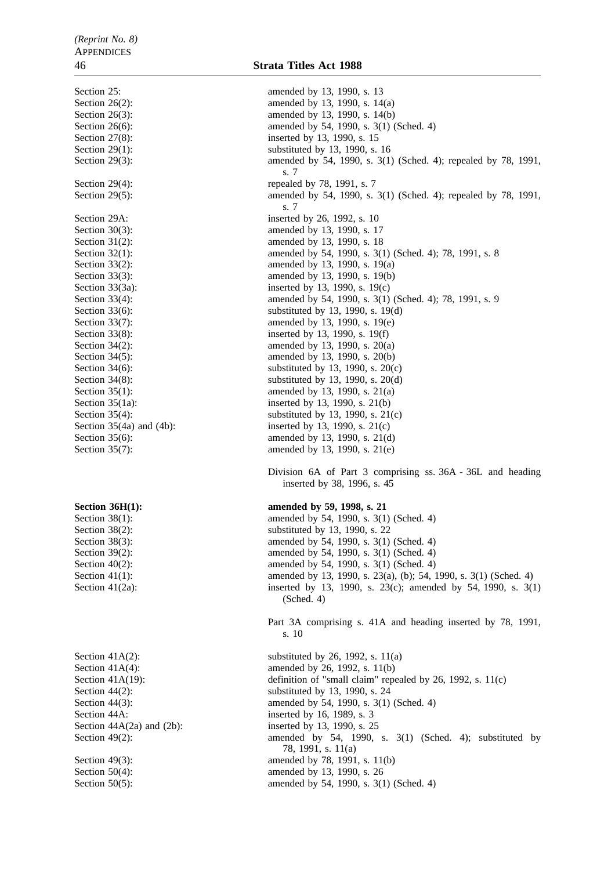Section 25: amended by 13, 1990, s. 13 Section 26(2): amended by 13, 1990, s. 14(a) Section 26(3): amended by 13, 1990, s. 14(b) Section 26(6): amended by 54, 1990, s. 3(1) (Sched. 4) Section 27(8): inserted by 13, 1990, s. 15 Section 29(1): substituted by 13, 1990, s. 16 Section 29(3): amended by 54, 1990, s. 3(1) (Sched. 4); repealed by 78, 1991, s. 7 Section 29(4): repealed by 78, 1991, s. 7 Section 29(5): amended by 54, 1990, s. 3(1) (Sched. 4); repealed by 78, 1991, s. 7 Section 29A: inserted by 26, 1992, s. 10 Section 30(3): amended by 13, 1990, s. 17 Section 31(2): amended by 13, 1990, s. 18 Section 32(1): amended by 54, 1990, s. 3(1) (Sched. 4); 78, 1991, s. 8 Section 33(2): amended by 13, 1990, s. 19(a) Section 33(3): amended by 13, 1990, s. 19(b) Section 33(3a): inserted by 13, 1990, s. 19(c)<br>Section 33(4): amended by 54, 1990, s. 3(1) amended by 54, 1990, s. 3(1) (Sched. 4); 78, 1991, s. 9 Section 33(6): substituted by 13, 1990, s. 19(d) Section 33(7): amended by 13, 1990, s. 19(e) Section 33(8): inserted by 13, 1990, s. 19(f) Section 34(2): amended by 13, 1990, s. 20(a) Section 34(5): amended by 13, 1990, s. 20(b) Section 34(6): substituted by 13, 1990, s.  $20(c)$ Section 34(8): substituted by 13, 1990, s. 20(d) Section 35(1): amended by 13, 1990, s. 21(a) Section 35(1a): inserted by 13, 1990, s. 21(b) Section 35(4): substituted by 13, 1990, s. 21(c) Section  $35(4a)$  and  $(4b)$ : inserted by 13, 1990, s.  $21(c)$ Section 35(6): amended by 13, 1990, s. 21(d) Section 35(7): amended by 13, 1990, s. 21(e) Division 6A of Part 3 comprising ss. 36A - 36L and heading inserted by 38, 1996, s. 45 **Section 36H(1):** amended by 59, 1998, s. 21 Section 38(1): amended by 54, 1990, s. 3(1) (Sched. 4) Section 38(2): substituted by 13, 1990, s. 22 Section 38(3): amended by 54, 1990, s. 3(1) (Sched. 4) Section 39(2): amended by 54, 1990, s. 3(1) (Sched. 4) Section 40(2): amended by 54, 1990, s. 3(1) (Sched. 4) Section 41(1): amended by 13, 1990, s. 23(a), (b); 54, 1990, s. 3(1) (Sched. 4) Section 41(2a): inserted by 13, 1990, s. 23(c); amended by 54, 1990, s. 3(1) (Sched. 4) Part 3A comprising s. 41A and heading inserted by 78, 1991, s. 10 Section 41A(2): substituted by 26, 1992, s.  $11(a)$ Section 41A(4): amended by 26, 1992, s. 11(b) Section 41A(19): definition of "small claim" repealed by 26, 1992, s. 11(c) Section 44(2): substituted by 13, 1990, s. 24 Section 44(3): **amended** by 54, 1990, s. 3(1) (Sched. 4) Section 44A: inserted by 16, 1989, s. 3 Section 44A(2a) and (2b): inserted by 13, 1990, s. 25 Section 49(2): amended by 54, 1990, s. 3(1) (Sched. 4); substituted by 78, 1991, s. 11(a) Section 49(3): amended by 78, 1991, s. 11(b) Section 50(4): amended by 13, 1990, s. 26 Section 50(5): amended by 54, 1990, s. 3(1) (Sched. 4)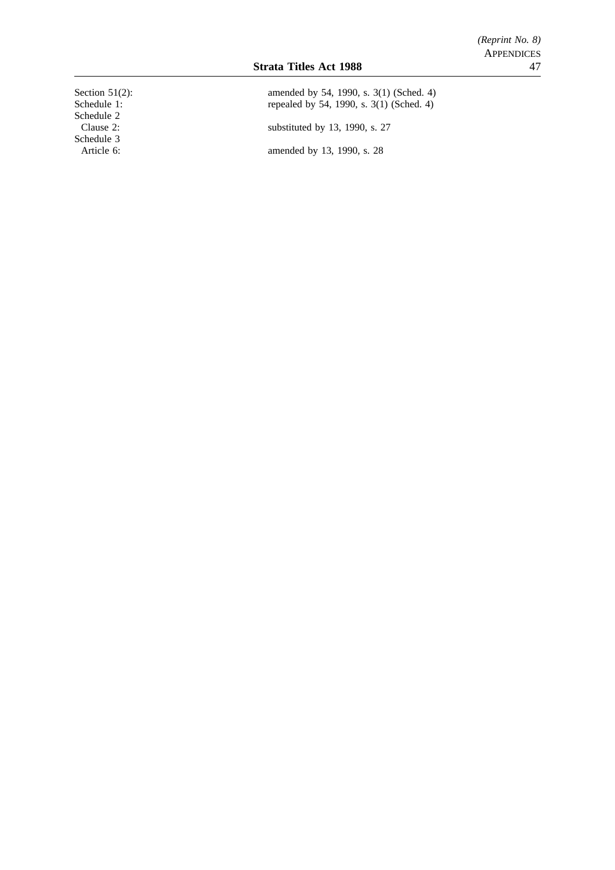Schedule 2<br>Clause 2: Schedule 3

Section 51(2): amended by 54, 1990, s. 3(1) (Sched. 4) Schedule 1: repealed by 54, 1990, s. 3(1) (Sched. 4) substituted by 13, 1990, s. 27

Article 6: amended by 13, 1990, s. 28